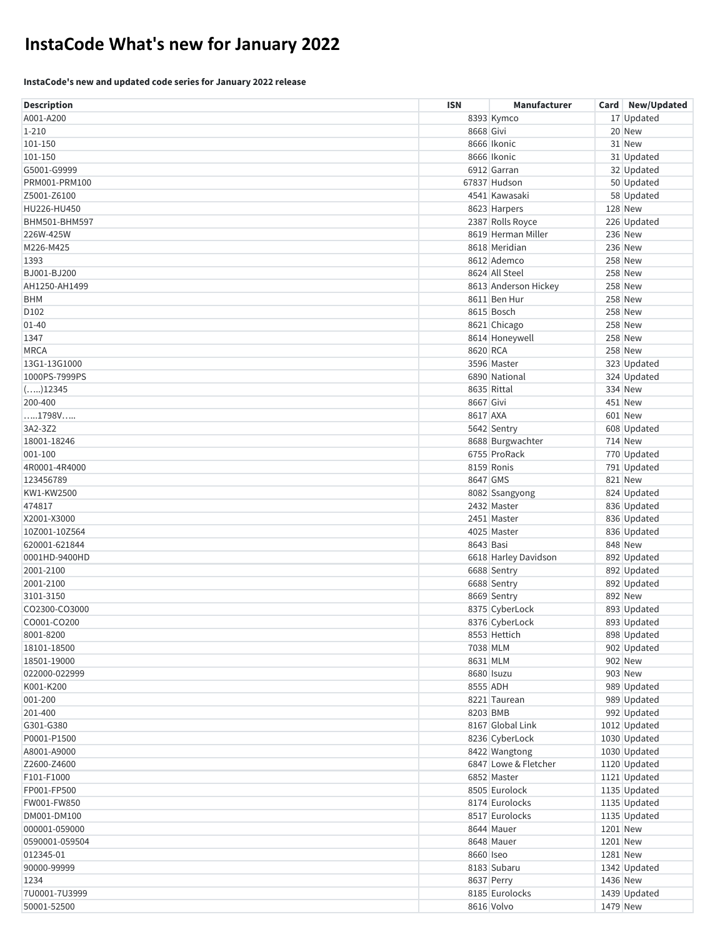# **InstaCode What's new for January 2022**

#### **InstaCode's new and updated code series for January 2022 release**

| <b>Description</b> | <b>ISN</b> | Manufacturer         |          | Card New/Updated |
|--------------------|------------|----------------------|----------|------------------|
| A001-A200          |            | 8393 Kymco           |          | 17 Updated       |
| $1 - 210$          | 8668 Givi  |                      |          | 20 New           |
| 101-150            |            | 8666 Ikonic          |          | 31 New           |
| 101-150            |            | 8666 Ikonic          |          | 31 Updated       |
| G5001-G9999        |            | 6912 Garran          |          | 32 Updated       |
| PRM001-PRM100      |            | 67837 Hudson         |          | 50 Updated       |
| Z5001-Z6100        |            | 4541 Kawasaki        |          | 58 Updated       |
| HU226-HU450        |            | 8623 Harpers         |          | <b>128 New</b>   |
| BHM501-BHM597      |            | 2387 Rolls Royce     |          | 226 Updated      |
| 226W-425W          |            | 8619 Herman Miller   |          | <b>236 New</b>   |
| M226-M425          |            | 8618 Meridian        |          | <b>236 New</b>   |
| 1393               |            | 8612 Ademco          |          | <b>258 New</b>   |
| BJ001-BJ200        |            | 8624 All Steel       |          | <b>258 New</b>   |
| AH1250-AH1499      |            | 8613 Anderson Hickey |          | <b>258 New</b>   |
| <b>BHM</b>         |            | 8611 Ben Hur         |          | <b>258 New</b>   |
| D <sub>102</sub>   |            | 8615 Bosch           |          | <b>258 New</b>   |
| $01 - 40$          |            | 8621 Chicago         |          | <b>258 New</b>   |
| 1347               |            | 8614 Honeywell       |          | <b>258 New</b>   |
| <b>MRCA</b>        | 8620 RCA   |                      |          | <b>258 New</b>   |
| 13G1-13G1000       |            | 3596 Master          |          | 323 Updated      |
| 1000PS-7999PS      |            | 6890 National        |          | 324 Updated      |
| ()12345            |            | 8635 Rittal          |          | 334 New          |
| 200-400            | 8667 Givi  |                      |          | 451 New          |
| 1798V              | 8617 AXA   |                      |          | <b>601 New</b>   |
| 3A2-3Z2            |            | 5642 Sentry          |          | 608 Updated      |
| 18001-18246        |            | 8688 Burgwachter     |          | <b>714 New</b>   |
| 001-100            |            | 6755 ProRack         |          | 770 Updated      |
| 4R0001-4R4000      |            | 8159 Ronis           |          | 791 Updated      |
| 123456789          | 8647 GMS   |                      |          | 821 New          |
| KW1-KW2500         |            | 8082 Ssangyong       |          | 824 Updated      |
| 474817             |            | 2432 Master          |          | 836 Updated      |
| X2001-X3000        |            | 2451 Master          |          | 836 Updated      |
| 10Z001-10Z564      |            | 4025 Master          |          | 836 Updated      |
| 620001-621844      | 8643 Basi  |                      |          | 848 New          |
| 0001HD-9400HD      |            | 6618 Harley Davidson |          | 892 Updated      |
| 2001-2100          |            | 6688 Sentry          |          | 892 Updated      |
| 2001-2100          |            | 6688 Sentry          |          | 892 Updated      |
| 3101-3150          |            | 8669 Sentry          |          | <b>892 New</b>   |
| CO2300-CO3000      |            | 8375 CyberLock       |          | 893 Updated      |
| CO001-CO200        |            | 8376 CyberLock       |          | 893 Updated      |
| 8001-8200          |            | 8553 Hettich         |          | 898 Updated      |
| 18101-18500        | 7038 MLM   |                      |          | 902 Updated      |
| 18501-19000        | 8631 MLM   |                      |          | 902 New          |
| 022000-022999      |            | 8680 Isuzu           |          | 903 New          |
| K001-K200          | 8555 ADH   |                      |          | 989 Updated      |
| 001-200            |            | 8221 Taurean         |          | 989 Updated      |
| 201-400            | 8203 BMB   |                      |          | 992 Updated      |
| G301-G380          |            | 8167 Global Link     |          | 1012 Updated     |
| P0001-P1500        |            | 8236 CyberLock       |          | 1030 Updated     |
| A8001-A9000        |            | 8422 Wangtong        |          | 1030 Updated     |
| Z2600-Z4600        |            | 6847 Lowe & Fletcher |          | 1120 Updated     |
| F101-F1000         |            | 6852 Master          |          | 1121 Updated     |
| FP001-FP500        |            | 8505 Eurolock        |          | 1135 Updated     |
| FW001-FW850        |            | 8174 Eurolocks       |          | 1135 Updated     |
| DM001-DM100        |            | 8517 Eurolocks       |          | 1135 Updated     |
| 000001-059000      |            | 8644 Mauer           | 1201 New |                  |
| 0590001-059504     |            | 8648 Mauer           | 1201 New |                  |
| 012345-01          | 8660 Iseo  |                      | 1281 New |                  |
| 90000-99999        |            | 8183 Subaru          |          | 1342 Updated     |
| 1234               |            | 8637 Perry           | 1436 New |                  |
| 7U0001-7U3999      |            | 8185 Eurolocks       |          | 1439 Updated     |
| 50001-52500        |            | 8616 Volvo           | 1479 New |                  |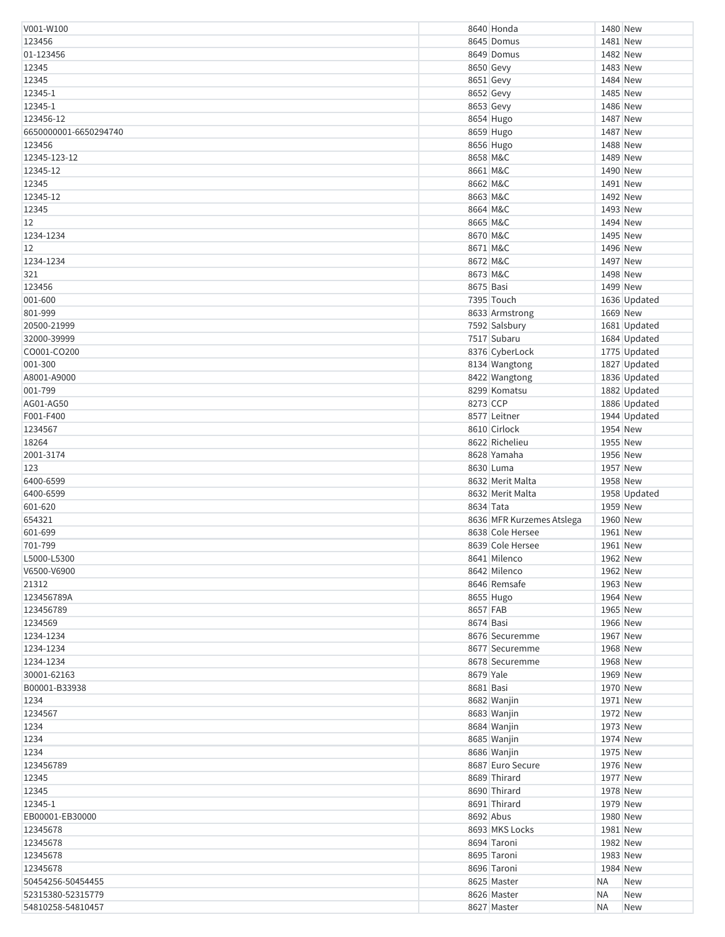| V001-W100             |           | 8640 Honda                | 1480 New  |              |
|-----------------------|-----------|---------------------------|-----------|--------------|
| 123456                |           | 8645 Domus                | 1481 New  |              |
| 01-123456             |           | 8649 Domus                | 1482 New  |              |
| 12345                 |           | 8650 Gevy                 | 1483 New  |              |
| 12345                 |           | 8651 Gevy                 | 1484 New  |              |
| 12345-1               |           | 8652 Gevy                 | 1485 New  |              |
|                       |           |                           | 1486 New  |              |
| 12345-1               |           | 8653 Gevy                 |           |              |
| 123456-12             |           | 8654 Hugo                 | 1487 New  |              |
| 6650000001-6650294740 |           | 8659 Hugo                 | 1487 New  |              |
| 123456                |           | 8656 Hugo                 | 1488 New  |              |
| 12345-123-12          | 8658 M&C  |                           | 1489 New  |              |
| 12345-12              | 8661 M&C  |                           | 1490 New  |              |
| 12345                 | 8662 M&C  |                           | 1491 New  |              |
| 12345-12              | 8663 M&C  |                           | 1492 New  |              |
| 12345                 | 8664 M&C  |                           | 1493 New  |              |
| 12                    | 8665 M&C  |                           | 1494 New  |              |
| 1234-1234             | 8670 M&C  |                           | 1495 New  |              |
| 12                    | 8671 M&C  |                           | 1496 New  |              |
| 1234-1234             | 8672 M&C  |                           | 1497 New  |              |
|                       |           |                           | 1498 New  |              |
| 321                   | 8673 M&C  |                           |           |              |
| 123456                | 8675 Basi |                           | 1499 New  |              |
| 001-600               |           | 7395 Touch                |           | 1636 Updated |
| 801-999               |           | 8633 Armstrong            | 1669 New  |              |
| 20500-21999           |           | 7592 Salsbury             |           | 1681 Updated |
| 32000-39999           |           | 7517 Subaru               |           | 1684 Updated |
| CO001-CO200           |           | 8376 CyberLock            |           | 1775 Updated |
| 001-300               |           | 8134 Wangtong             |           | 1827 Updated |
| A8001-A9000           |           | 8422 Wangtong             |           | 1836 Updated |
| 001-799               |           | 8299 Komatsu              |           | 1882 Updated |
| AG01-AG50             | 8273 CCP  |                           |           | 1886 Updated |
| F001-F400             |           | 8577 Leitner              |           | 1944 Updated |
| 1234567               |           | 8610 Cirlock              | 1954 New  |              |
|                       |           |                           |           |              |
| 18264                 |           | 8622 Richelieu            | 1955 New  |              |
| 2001-3174             |           | 8628 Yamaha               | 1956 New  |              |
| 123                   |           | 8630 Luma                 | 1957 New  |              |
| 6400-6599             |           | 8632 Merit Malta          | 1958 New  |              |
| 6400-6599             |           | 8632 Merit Malta          |           | 1958 Updated |
| 601-620               | 8634 Tata |                           | 1959 New  |              |
| 654321                |           | 8636 MFR Kurzemes Atslega | 1960 New  |              |
| 601-699               |           | 8638 Cole Hersee          | 1961 New  |              |
| 701-799               |           | 8639 Cole Hersee          | 1961 New  |              |
| L5000-L5300           |           | 8641 Milenco              | 1962 New  |              |
| V6500-V6900           |           | 8642 Milenco              | 1962 New  |              |
| 21312                 |           | 8646 Remsafe              | 1963 New  |              |
| 123456789A            |           | 8655 Hugo                 | 1964 New  |              |
|                       |           |                           |           |              |
| 123456789             | 8657 FAB  |                           | 1965 New  |              |
| 1234569               | 8674 Basi |                           | 1966 New  |              |
| 1234-1234             |           | 8676 Securemme            | 1967 New  |              |
| 1234-1234             |           | 8677 Securemme            | 1968 New  |              |
| 1234-1234             |           | 8678 Securemme            | 1968 New  |              |
| 30001-62163           | 8679 Yale |                           | 1969 New  |              |
| B00001-B33938         | 8681 Basi |                           | 1970 New  |              |
| 1234                  |           | 8682 Wanjin               | 1971 New  |              |
| 1234567               |           | 8683 Wanjin               | 1972 New  |              |
| 1234                  |           | 8684 Wanjin               | 1973 New  |              |
| 1234                  |           | 8685 Wanjin               | 1974 New  |              |
| 1234                  |           | 8686 Wanjin               | 1975 New  |              |
| 123456789             |           | 8687 Euro Secure          | 1976 New  |              |
| 12345                 |           | 8689 Thirard              | 1977 New  |              |
| 12345                 |           | 8690 Thirard              | 1978 New  |              |
|                       |           |                           |           |              |
| 12345-1               |           | 8691 Thirard              | 1979 New  |              |
| EB00001-EB30000       |           | 8692 Abus                 | 1980 New  |              |
| 12345678              |           | 8693 MKS Locks            | 1981 New  |              |
| 12345678              |           | 8694 Taroni               | 1982 New  |              |
| 12345678              |           | 8695 Taroni               | 1983 New  |              |
| 12345678              |           | 8696 Taroni               | 1984 New  |              |
| 50454256-50454455     |           | 8625 Master               | ΝA        | New          |
| 52315380-52315779     |           | 8626 Master               | <b>NA</b> | New          |
| 54810258-54810457     |           | 8627 Master               | <b>NA</b> | <b>New</b>   |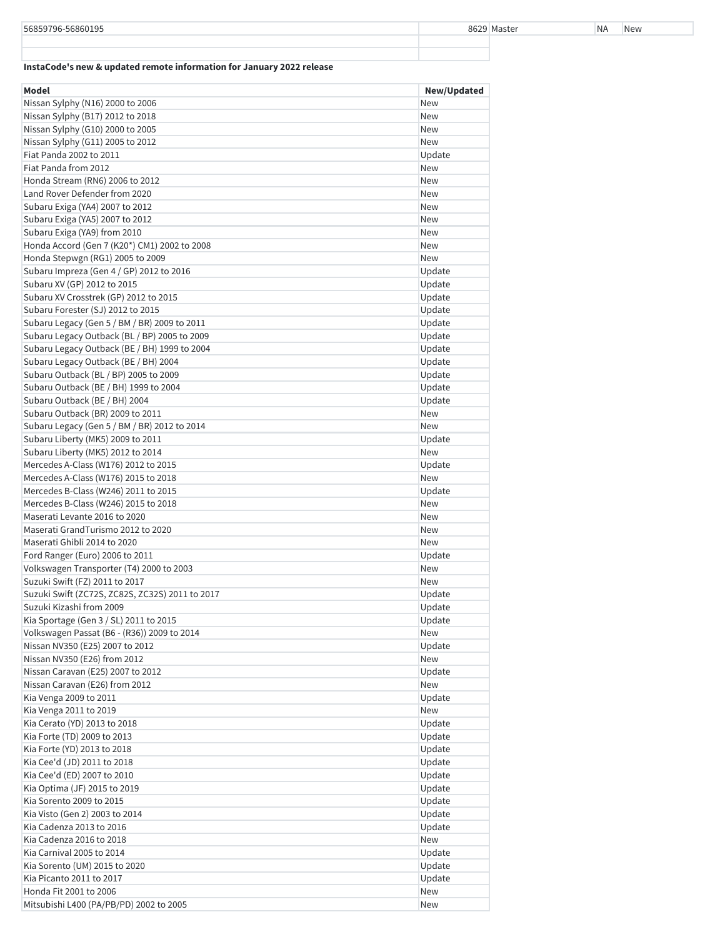### **InstaCode's new & updated remote information for January 2022 release**

| Model                                           | New/Updated |
|-------------------------------------------------|-------------|
| Nissan Sylphy (N16) 2000 to 2006                | <b>New</b>  |
| Nissan Sylphy (B17) 2012 to 2018                | <b>New</b>  |
| Nissan Sylphy (G10) 2000 to 2005                | <b>New</b>  |
| Nissan Sylphy (G11) 2005 to 2012                | <b>New</b>  |
| Fiat Panda 2002 to 2011                         | Update      |
| Fiat Panda from 2012                            | New         |
| Honda Stream (RN6) 2006 to 2012                 | <b>New</b>  |
| Land Rover Defender from 2020                   | <b>New</b>  |
| Subaru Exiga (YA4) 2007 to 2012                 | New         |
| Subaru Exiga (YA5) 2007 to 2012                 | <b>New</b>  |
| Subaru Exiga (YA9) from 2010                    | <b>New</b>  |
| Honda Accord (Gen 7 (K20*) CM1) 2002 to 2008    | New         |
| Honda Stepwgn (RG1) 2005 to 2009                | <b>New</b>  |
| Subaru Impreza (Gen 4 / GP) 2012 to 2016        | Update      |
| Subaru XV (GP) 2012 to 2015                     | Update      |
| Subaru XV Crosstrek (GP) 2012 to 2015           | Update      |
| Subaru Forester (SJ) 2012 to 2015               | Update      |
| Subaru Legacy (Gen 5 / BM / BR) 2009 to 2011    | Update      |
| Subaru Legacy Outback (BL / BP) 2005 to 2009    | Update      |
| Subaru Legacy Outback (BE / BH) 1999 to 2004    | Update      |
| Subaru Legacy Outback (BE / BH) 2004            | Update      |
| Subaru Outback (BL / BP) 2005 to 2009           | Update      |
| Subaru Outback (BE / BH) 1999 to 2004           | Update      |
| Subaru Outback (BE / BH) 2004                   | Update      |
| Subaru Outback (BR) 2009 to 2011                | <b>New</b>  |
| Subaru Legacy (Gen 5 / BM / BR) 2012 to 2014    | <b>New</b>  |
| Subaru Liberty (MK5) 2009 to 2011               | Update      |
| Subaru Liberty (MK5) 2012 to 2014               | <b>New</b>  |
| Mercedes A-Class (W176) 2012 to 2015            | Update      |
| Mercedes A-Class (W176) 2015 to 2018            | <b>New</b>  |
| Mercedes B-Class (W246) 2011 to 2015            | Update      |
| Mercedes B-Class (W246) 2015 to 2018            | <b>New</b>  |
| Maserati Levante 2016 to 2020                   | <b>New</b>  |
| Maserati GrandTurismo 2012 to 2020              | <b>New</b>  |
| Maserati Ghibli 2014 to 2020                    | <b>New</b>  |
| Ford Ranger (Euro) 2006 to 2011                 | Update      |
| Volkswagen Transporter (T4) 2000 to 2003        | New         |
| Suzuki Swift (FZ) 2011 to 2017                  | <b>New</b>  |
| Suzuki Swift (ZC72S, ZC82S, ZC32S) 2011 to 2017 | Update      |
| Suzuki Kizashi from 2009                        | Update      |
| Kia Sportage (Gen 3 / SL) 2011 to 2015          | Update      |
| Volkswagen Passat (B6 - (R36)) 2009 to 2014     | New         |
| Nissan NV350 (E25) 2007 to 2012                 | Update      |
| Nissan NV350 (E26) from 2012                    | New         |
| Nissan Caravan (E25) 2007 to 2012               | Update      |
| Nissan Caravan (E26) from 2012                  | New         |
| Kia Venga 2009 to 2011                          | Update      |
| Kia Venga 2011 to 2019                          | New         |
| Kia Cerato (YD) 2013 to 2018                    | Update      |
| Kia Forte (TD) 2009 to 2013                     | Update      |
| Kia Forte (YD) 2013 to 2018                     | Update      |
| Kia Cee'd (JD) 2011 to 2018                     | Update      |
| Kia Cee'd (ED) 2007 to 2010                     | Update      |
| Kia Optima (JF) 2015 to 2019                    | Update      |
| Kia Sorento 2009 to 2015                        | Update      |
| Kia Visto (Gen 2) 2003 to 2014                  | Update      |
| Kia Cadenza 2013 to 2016                        | Update      |
| Kia Cadenza 2016 to 2018                        | New         |
| Kia Carnival 2005 to 2014                       | Update      |
| Kia Sorento (UM) 2015 to 2020                   | Update      |
| Kia Picanto 2011 to 2017                        | Update      |
| Honda Fit 2001 to 2006                          | New         |
| Mitsubishi L400 (PA/PB/PD) 2002 to 2005         | New         |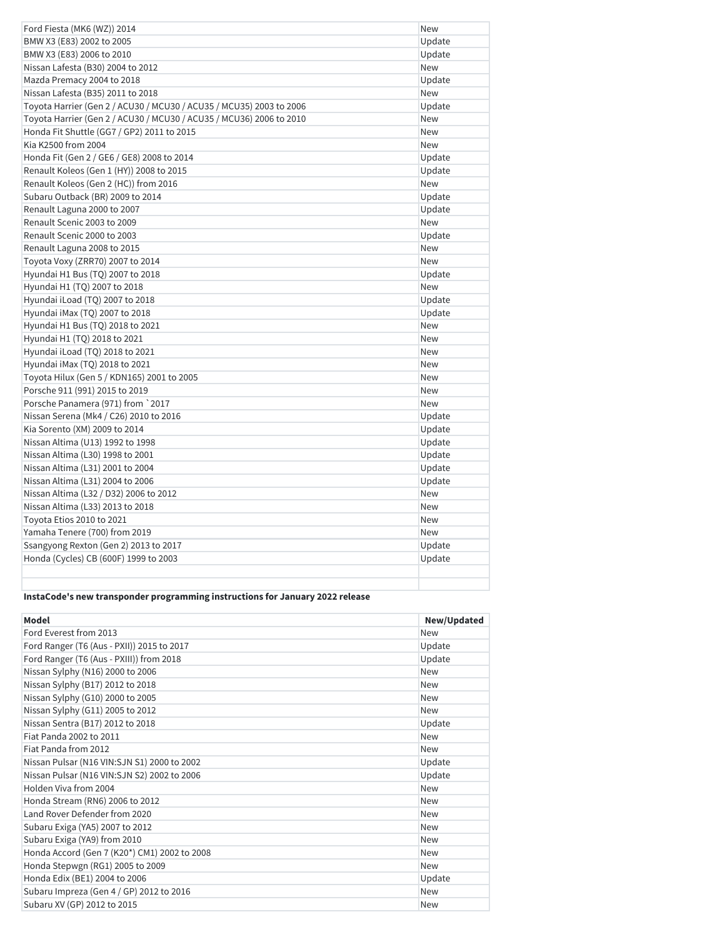| Ford Fiesta (MK6 (WZ)) 2014                                         | New        |
|---------------------------------------------------------------------|------------|
| BMW X3 (E83) 2002 to 2005                                           | Update     |
| BMW X3 (E83) 2006 to 2010                                           | Update     |
| Nissan Lafesta (B30) 2004 to 2012                                   | <b>New</b> |
| Mazda Premacy 2004 to 2018                                          | Update     |
| Nissan Lafesta (B35) 2011 to 2018                                   | <b>New</b> |
| Toyota Harrier (Gen 2 / ACU30 / MCU30 / ACU35 / MCU35) 2003 to 2006 | Update     |
| Toyota Harrier (Gen 2 / ACU30 / MCU30 / ACU35 / MCU36) 2006 to 2010 | New        |
| Honda Fit Shuttle (GG7 / GP2) 2011 to 2015                          | <b>New</b> |
| Kia K2500 from 2004                                                 | <b>New</b> |
| Honda Fit (Gen 2 / GE6 / GE8) 2008 to 2014                          | Update     |
| Renault Koleos (Gen 1 (HY)) 2008 to 2015                            | Update     |
| Renault Koleos (Gen 2 (HC)) from 2016                               | <b>New</b> |
| Subaru Outback (BR) 2009 to 2014                                    | Update     |
| Renault Laguna 2000 to 2007                                         | Update     |
| Renault Scenic 2003 to 2009                                         | <b>New</b> |
| Renault Scenic 2000 to 2003                                         | Update     |
| Renault Laguna 2008 to 2015                                         | New        |
| Toyota Voxy (ZRR70) 2007 to 2014                                    | <b>New</b> |
| Hyundai H1 Bus (TQ) 2007 to 2018                                    | Update     |
| Hyundai H1 (TQ) 2007 to 2018                                        | <b>New</b> |
| Hyundai iLoad (TQ) 2007 to 2018                                     | Update     |
| Hyundai iMax (TQ) 2007 to 2018                                      | Update     |
| Hyundai H1 Bus (TQ) 2018 to 2021                                    | <b>New</b> |
| Hyundai H1 (TQ) 2018 to 2021                                        | <b>New</b> |
| Hyundai iLoad (TQ) 2018 to 2021                                     | New        |
| Hyundai iMax (TQ) 2018 to 2021                                      | New        |
| Toyota Hilux (Gen 5 / KDN165) 2001 to 2005                          | New        |
| Porsche 911 (991) 2015 to 2019                                      | <b>New</b> |
| Porsche Panamera (971) from `2017                                   | <b>New</b> |
| Nissan Serena (Mk4 / C26) 2010 to 2016                              | Update     |
| Kia Sorento (XM) 2009 to 2014                                       | Update     |
| Nissan Altima (U13) 1992 to 1998                                    | Update     |
| Nissan Altima (L30) 1998 to 2001                                    | Update     |
| Nissan Altima (L31) 2001 to 2004                                    | Update     |
| Nissan Altima (L31) 2004 to 2006                                    | Update     |
| Nissan Altima (L32 / D32) 2006 to 2012                              | New        |
| Nissan Altima (L33) 2013 to 2018                                    | New        |
| Toyota Etios 2010 to 2021                                           | <b>New</b> |
| Yamaha Tenere (700) from 2019                                       | <b>New</b> |
| Ssangyong Rexton (Gen 2) 2013 to 2017                               | Update     |
| Honda (Cycles) CB (600F) 1999 to 2003                               | Update     |
|                                                                     |            |
|                                                                     |            |

# **InstaCode's new transponder programming instructions for January 2022 release**

| <b>Model</b>                                 | New/Updated |
|----------------------------------------------|-------------|
| Ford Everest from 2013                       | <b>New</b>  |
| Ford Ranger (T6 (Aus - PXII)) 2015 to 2017   | Update      |
| Ford Ranger (T6 (Aus - PXIII)) from 2018     | Update      |
| Nissan Sylphy (N16) 2000 to 2006             | <b>New</b>  |
| Nissan Sylphy (B17) 2012 to 2018             | <b>New</b>  |
| Nissan Sylphy (G10) 2000 to 2005             | <b>New</b>  |
| Nissan Sylphy (G11) 2005 to 2012             | <b>New</b>  |
| Nissan Sentra (B17) 2012 to 2018             | Update      |
| Fiat Panda 2002 to 2011                      | <b>New</b>  |
| Fiat Panda from 2012                         | <b>New</b>  |
| Nissan Pulsar (N16 VIN:SJN S1) 2000 to 2002  | Update      |
| Nissan Pulsar (N16 VIN:SJN S2) 2002 to 2006  | Update      |
| Holden Viva from 2004                        | <b>New</b>  |
| Honda Stream (RN6) 2006 to 2012              | <b>New</b>  |
| Land Rover Defender from 2020                | <b>New</b>  |
| Subaru Exiga (YA5) 2007 to 2012              | <b>New</b>  |
| Subaru Exiga (YA9) from 2010                 | <b>New</b>  |
| Honda Accord (Gen 7 (K20*) CM1) 2002 to 2008 | <b>New</b>  |
| Honda Stepwgn (RG1) 2005 to 2009             | <b>New</b>  |
| Honda Edix (BE1) 2004 to 2006                | Update      |
| Subaru Impreza (Gen 4 / GP) 2012 to 2016     | <b>New</b>  |
| Subaru XV (GP) 2012 to 2015                  | <b>New</b>  |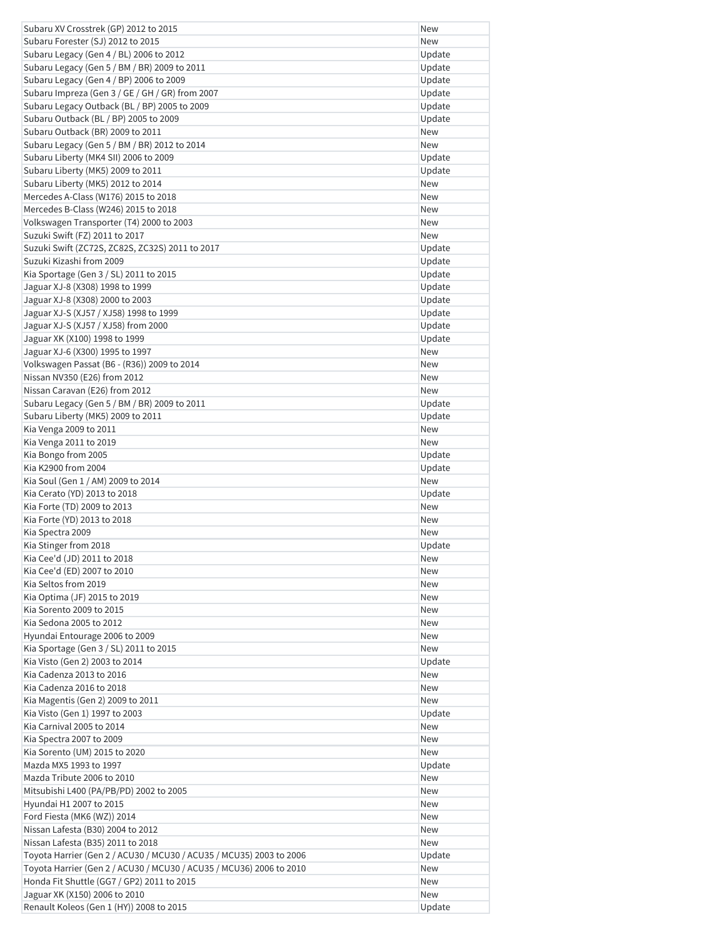| Subaru XV Crosstrek (GP) 2012 to 2015                               | New        |
|---------------------------------------------------------------------|------------|
| Subaru Forester (SJ) 2012 to 2015                                   | <b>New</b> |
| Subaru Legacy (Gen 4 / BL) 2006 to 2012                             | Update     |
| Subaru Legacy (Gen 5 / BM / BR) 2009 to 2011                        | Update     |
| Subaru Legacy (Gen 4 / BP) 2006 to 2009                             | Update     |
| Subaru Impreza (Gen 3 / GE / GH / GR) from 2007                     | Update     |
| Subaru Legacy Outback (BL / BP) 2005 to 2009                        | Update     |
| Subaru Outback (BL / BP) 2005 to 2009                               | Update     |
| Subaru Outback (BR) 2009 to 2011                                    | New        |
| Subaru Legacy (Gen 5 / BM / BR) 2012 to 2014                        | <b>New</b> |
| Subaru Liberty (MK4 SII) 2006 to 2009                               | Update     |
| Subaru Liberty (MK5) 2009 to 2011                                   | Update     |
| Subaru Liberty (MK5) 2012 to 2014                                   | <b>New</b> |
| Mercedes A-Class (W176) 2015 to 2018                                | New        |
| Mercedes B-Class (W246) 2015 to 2018                                | New        |
| Volkswagen Transporter (T4) 2000 to 2003                            | New        |
| Suzuki Swift (FZ) 2011 to 2017                                      | New        |
| Suzuki Swift (ZC72S, ZC82S, ZC32S) 2011 to 2017                     | Update     |
| Suzuki Kizashi from 2009                                            | Update     |
| Kia Sportage (Gen 3 / SL) 2011 to 2015                              | Update     |
| Jaguar XJ-8 (X308) 1998 to 1999                                     | Update     |
| Jaguar XJ-8 (X308) 2000 to 2003                                     | Update     |
| Jaguar XJ-S (XJ57 / XJ58) 1998 to 1999                              | Update     |
| Jaguar XJ-S (XJ57 / XJ58) from 2000                                 | Update     |
| Jaguar XK (X100) 1998 to 1999                                       | Update     |
| Jaguar XJ-6 (X300) 1995 to 1997                                     | <b>New</b> |
| Volkswagen Passat (B6 - (R36)) 2009 to 2014                         | <b>New</b> |
| Nissan NV350 (E26) from 2012                                        | New        |
| Nissan Caravan (E26) from 2012                                      | New        |
|                                                                     | Update     |
| Subaru Legacy (Gen 5 / BM / BR) 2009 to 2011                        |            |
| Subaru Liberty (MK5) 2009 to 2011                                   | Update     |
| Kia Venga 2009 to 2011                                              | <b>New</b> |
| Kia Venga 2011 to 2019                                              | New        |
| Kia Bongo from 2005                                                 | Update     |
| Kia K2900 from 2004                                                 | Update     |
| Kia Soul (Gen 1 / AM) 2009 to 2014<br>Kia Cerato (YD) 2013 to 2018  | <b>New</b> |
|                                                                     | Update     |
| Kia Forte (TD) 2009 to 2013                                         | <b>New</b> |
| Kia Forte (YD) 2013 to 2018                                         | New        |
| Kia Spectra 2009                                                    | New        |
| Kia Stinger from 2018                                               | Update     |
| Kia Cee'd (JD) 2011 to 2018                                         | New        |
| Kia Cee'd (ED) 2007 to 2010                                         | New        |
| Kia Seltos from 2019                                                | New        |
| Kia Optima (JF) 2015 to 2019                                        | <b>New</b> |
| Kia Sorento 2009 to 2015                                            | New        |
| Kia Sedona 2005 to 2012                                             | New        |
| Hyundai Entourage 2006 to 2009                                      | New        |
| Kia Sportage (Gen 3 / SL) 2011 to 2015                              | New        |
| Kia Visto (Gen 2) 2003 to 2014                                      | Update     |
| Kia Cadenza 2013 to 2016                                            | New        |
| Kia Cadenza 2016 to 2018                                            | New        |
| Kia Magentis (Gen 2) 2009 to 2011                                   | New        |
| Kia Visto (Gen 1) 1997 to 2003                                      | Update     |
| Kia Carnival 2005 to 2014                                           | New        |
| Kia Spectra 2007 to 2009                                            | New        |
| Kia Sorento (UM) 2015 to 2020                                       | New        |
| Mazda MX5 1993 to 1997                                              | Update     |
| Mazda Tribute 2006 to 2010                                          | <b>New</b> |
| Mitsubishi L400 (PA/PB/PD) 2002 to 2005                             | New        |
| Hyundai H1 2007 to 2015                                             | New        |
| Ford Fiesta (MK6 (WZ)) 2014                                         | <b>New</b> |
| Nissan Lafesta (B30) 2004 to 2012                                   | New        |
| Nissan Lafesta (B35) 2011 to 2018                                   | New        |
| Toyota Harrier (Gen 2 / ACU30 / MCU30 / ACU35 / MCU35) 2003 to 2006 | Update     |
| Toyota Harrier (Gen 2 / ACU30 / MCU30 / ACU35 / MCU36) 2006 to 2010 | New        |
| Honda Fit Shuttle (GG7 / GP2) 2011 to 2015                          | New        |
| Jaguar XK (X150) 2006 to 2010                                       | New        |
| Renault Koleos (Gen 1 (HY)) 2008 to 2015                            | Update     |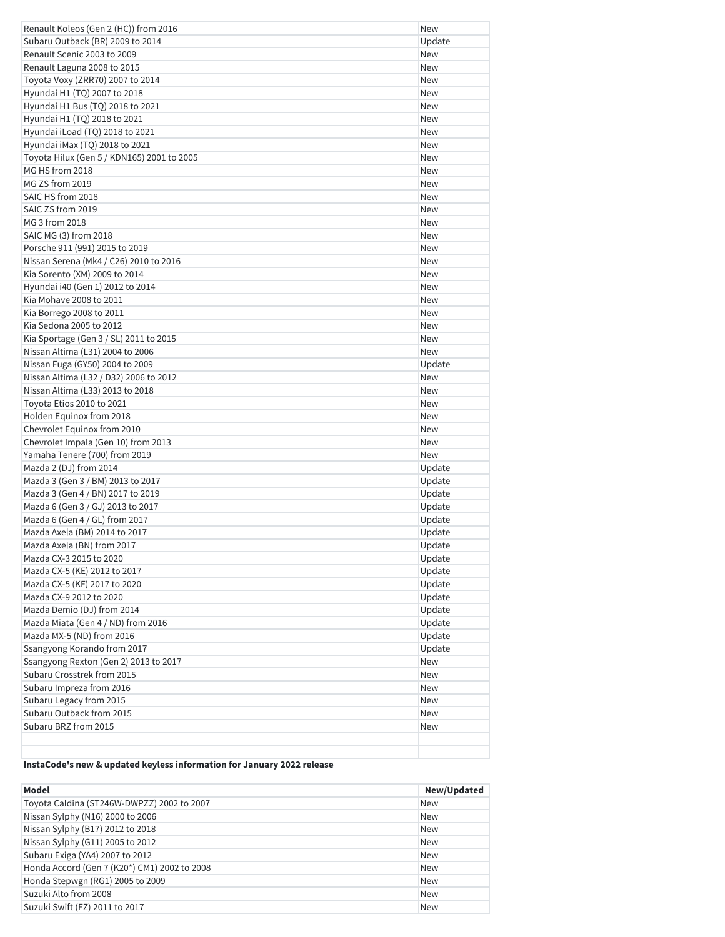| Renault Koleos (Gen 2 (HC)) from 2016      | New        |
|--------------------------------------------|------------|
| Subaru Outback (BR) 2009 to 2014           | Update     |
| Renault Scenic 2003 to 2009                | <b>New</b> |
| Renault Laguna 2008 to 2015                | <b>New</b> |
| Toyota Voxy (ZRR70) 2007 to 2014           | <b>New</b> |
| Hyundai H1 (TQ) 2007 to 2018               | New        |
| Hyundai H1 Bus (TQ) 2018 to 2021           | New        |
| Hyundai H1 (TQ) 2018 to 2021               | New        |
| Hyundai iLoad (TQ) 2018 to 2021            | New        |
| Hyundai iMax (TQ) 2018 to 2021             | <b>New</b> |
| Toyota Hilux (Gen 5 / KDN165) 2001 to 2005 | New        |
| MG HS from 2018                            | New        |
| MG ZS from 2019                            | New        |
| SAIC HS from 2018                          | <b>New</b> |
| SAIC ZS from 2019                          | New        |
| MG 3 from 2018                             | <b>New</b> |
| SAIC MG (3) from 2018                      | New        |
| Porsche 911 (991) 2015 to 2019             | New        |
| Nissan Serena (Mk4 / C26) 2010 to 2016     | New        |
| Kia Sorento (XM) 2009 to 2014              | New        |
| Hyundai i40 (Gen 1) 2012 to 2014           | <b>New</b> |
| Kia Mohave 2008 to 2011                    | <b>New</b> |
| Kia Borrego 2008 to 2011                   | New        |
| Kia Sedona 2005 to 2012                    | <b>New</b> |
| Kia Sportage (Gen 3 / SL) 2011 to 2015     | <b>New</b> |
| Nissan Altima (L31) 2004 to 2006           | <b>New</b> |
| Nissan Fuga (GY50) 2004 to 2009            | Update     |
| Nissan Altima (L32 / D32) 2006 to 2012     | <b>New</b> |
| Nissan Altima (L33) 2013 to 2018           | <b>New</b> |
| Toyota Etios 2010 to 2021                  | New        |
| Holden Equinox from 2018                   | New        |
| Chevrolet Equinox from 2010                | <b>New</b> |
| Chevrolet Impala (Gen 10) from 2013        | New        |
| Yamaha Tenere (700) from 2019              | New        |
| Mazda 2 (DJ) from 2014                     | Update     |
| Mazda 3 (Gen 3 / BM) 2013 to 2017          | Update     |
| Mazda 3 (Gen 4 / BN) 2017 to 2019          | Update     |
| Mazda 6 (Gen 3 / GJ) 2013 to 2017          | Update     |
| Mazda 6 (Gen 4 / GL) from 2017             | Update     |
| Mazda Axela (BM) 2014 to 2017              | Update     |
| Mazda Axela (BN) from 2017                 | Update     |
| Mazda CX-3 2015 to 2020                    | Update     |
| Mazda CX-5 (KE) 2012 to 2017               | Update     |
| Mazda CX-5 (KF) 2017 to 2020               | Update     |
| Mazda CX-9 2012 to 2020                    | Update     |
| Mazda Demio (DJ) from 2014                 | Update     |
| Mazda Miata (Gen 4 / ND) from 2016         | Update     |
| Mazda MX-5 (ND) from 2016                  | Update     |
| Ssangyong Korando from 2017                | Update     |
| Ssangyong Rexton (Gen 2) 2013 to 2017      | New        |
| Subaru Crosstrek from 2015                 | New        |
| Subaru Impreza from 2016                   | New        |
| Subaru Legacy from 2015                    | New        |
| Subaru Outback from 2015                   | New        |
| Subaru BRZ from 2015                       | New        |
|                                            |            |
|                                            |            |

# **InstaCode's new & updated keyless information for January 2022 release**

| Model                                        | New/Updated |
|----------------------------------------------|-------------|
| Toyota Caldina (ST246W-DWPZZ) 2002 to 2007   | <b>New</b>  |
| Nissan Sylphy (N16) 2000 to 2006             | <b>New</b>  |
| Nissan Sylphy (B17) 2012 to 2018             | <b>New</b>  |
| Nissan Sylphy (G11) 2005 to 2012             | <b>New</b>  |
| Subaru Exiga (YA4) 2007 to 2012              | <b>New</b>  |
| Honda Accord (Gen 7 (K20*) CM1) 2002 to 2008 | <b>New</b>  |
| Honda Stepwgn (RG1) 2005 to 2009             | <b>New</b>  |
| Suzuki Alto from 2008                        | <b>New</b>  |
| Suzuki Swift (FZ) 2011 to 2017               | <b>New</b>  |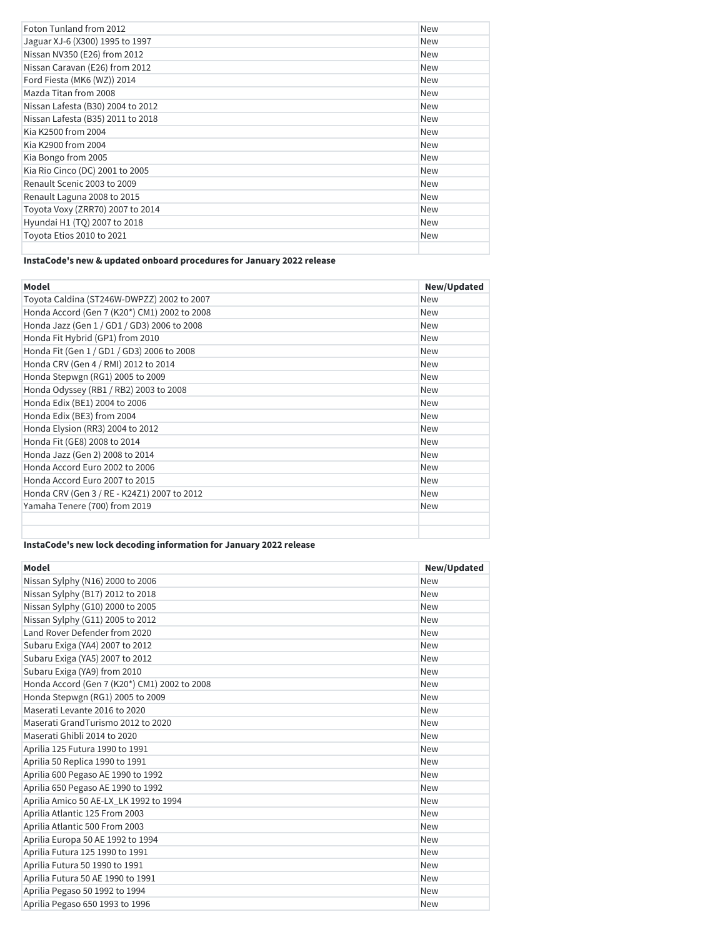| Foton Tunland from 2012           | <b>New</b> |
|-----------------------------------|------------|
| Jaguar XJ-6 (X300) 1995 to 1997   | <b>New</b> |
| Nissan NV350 (E26) from 2012      | <b>New</b> |
| Nissan Caravan (E26) from 2012    | <b>New</b> |
| Ford Fiesta (MK6 (WZ)) 2014       | <b>New</b> |
| Mazda Titan from 2008             | <b>New</b> |
| Nissan Lafesta (B30) 2004 to 2012 | <b>New</b> |
| Nissan Lafesta (B35) 2011 to 2018 | <b>New</b> |
| Kia K2500 from 2004               | <b>New</b> |
| Kia K2900 from 2004               | <b>New</b> |
| Kia Bongo from 2005               | <b>New</b> |
| Kia Rio Cinco (DC) 2001 to 2005   | <b>New</b> |
| Renault Scenic 2003 to 2009       | <b>New</b> |
| Renault Laguna 2008 to 2015       | <b>New</b> |
| Toyota Voxy (ZRR70) 2007 to 2014  | <b>New</b> |
| Hyundai H1 (TQ) 2007 to 2018      | <b>New</b> |
| Toyota Etios 2010 to 2021         | <b>New</b> |
|                                   |            |

# **InstaCode's new & updated onboard procedures for January 2022 release**

| <b>Model</b>                                 | New/Updated |
|----------------------------------------------|-------------|
| Toyota Caldina (ST246W-DWPZZ) 2002 to 2007   | <b>New</b>  |
| Honda Accord (Gen 7 (K20*) CM1) 2002 to 2008 | <b>New</b>  |
| Honda Jazz (Gen 1 / GD1 / GD3) 2006 to 2008  | <b>New</b>  |
| Honda Fit Hybrid (GP1) from 2010             | <b>New</b>  |
| Honda Fit (Gen 1 / GD1 / GD3) 2006 to 2008   | <b>New</b>  |
| Honda CRV (Gen 4 / RMI) 2012 to 2014         | <b>New</b>  |
| Honda Stepwgn (RG1) 2005 to 2009             | <b>New</b>  |
| Honda Odyssey (RB1 / RB2) 2003 to 2008       | <b>New</b>  |
| Honda Edix (BE1) 2004 to 2006                | <b>New</b>  |
| Honda Edix (BE3) from 2004                   | <b>New</b>  |
| Honda Elysion (RR3) 2004 to 2012             | <b>New</b>  |
| Honda Fit (GE8) 2008 to 2014                 | <b>New</b>  |
| Honda Jazz (Gen 2) 2008 to 2014              | <b>New</b>  |
| Honda Accord Euro 2002 to 2006               | <b>New</b>  |
| Honda Accord Euro 2007 to 2015               | <b>New</b>  |
| Honda CRV (Gen 3 / RE - K24Z1) 2007 to 2012  | <b>New</b>  |
| Yamaha Tenere (700) from 2019                | <b>New</b>  |
|                                              |             |
|                                              |             |

# **InstaCode's new lock decoding information for January 2022 release**

| <b>Model</b>                                 | New/Updated |
|----------------------------------------------|-------------|
| Nissan Sylphy (N16) 2000 to 2006             | New         |
| Nissan Sylphy (B17) 2012 to 2018             | <b>New</b>  |
| Nissan Sylphy (G10) 2000 to 2005             | <b>New</b>  |
| Nissan Sylphy (G11) 2005 to 2012             | <b>New</b>  |
| Land Rover Defender from 2020                | <b>New</b>  |
| Subaru Exiga (YA4) 2007 to 2012              | <b>New</b>  |
| Subaru Exiga (YA5) 2007 to 2012              | <b>New</b>  |
| Subaru Exiga (YA9) from 2010                 | <b>New</b>  |
| Honda Accord (Gen 7 (K20*) CM1) 2002 to 2008 | <b>New</b>  |
| Honda Stepwgn (RG1) 2005 to 2009             | <b>New</b>  |
| Maserati Levante 2016 to 2020                | <b>New</b>  |
| Maserati GrandTurismo 2012 to 2020           | <b>New</b>  |
| Maserati Ghibli 2014 to 2020                 | <b>New</b>  |
| Aprilia 125 Futura 1990 to 1991              | <b>New</b>  |
| Aprilia 50 Replica 1990 to 1991              | <b>New</b>  |
| Aprilia 600 Pegaso AE 1990 to 1992           | <b>New</b>  |
| Aprilia 650 Pegaso AE 1990 to 1992           | <b>New</b>  |
| Aprilia Amico 50 AE-LX_LK 1992 to 1994       | <b>New</b>  |
| Aprilia Atlantic 125 From 2003               | <b>New</b>  |
| Aprilia Atlantic 500 From 2003               | <b>New</b>  |
| Aprilia Europa 50 AE 1992 to 1994            | <b>New</b>  |
| Aprilia Futura 125 1990 to 1991              | <b>New</b>  |
| Aprilia Futura 50 1990 to 1991               | <b>New</b>  |
| Aprilia Futura 50 AE 1990 to 1991            | <b>New</b>  |
| Aprilia Pegaso 50 1992 to 1994               | <b>New</b>  |
| Aprilia Pegaso 650 1993 to 1996              | <b>New</b>  |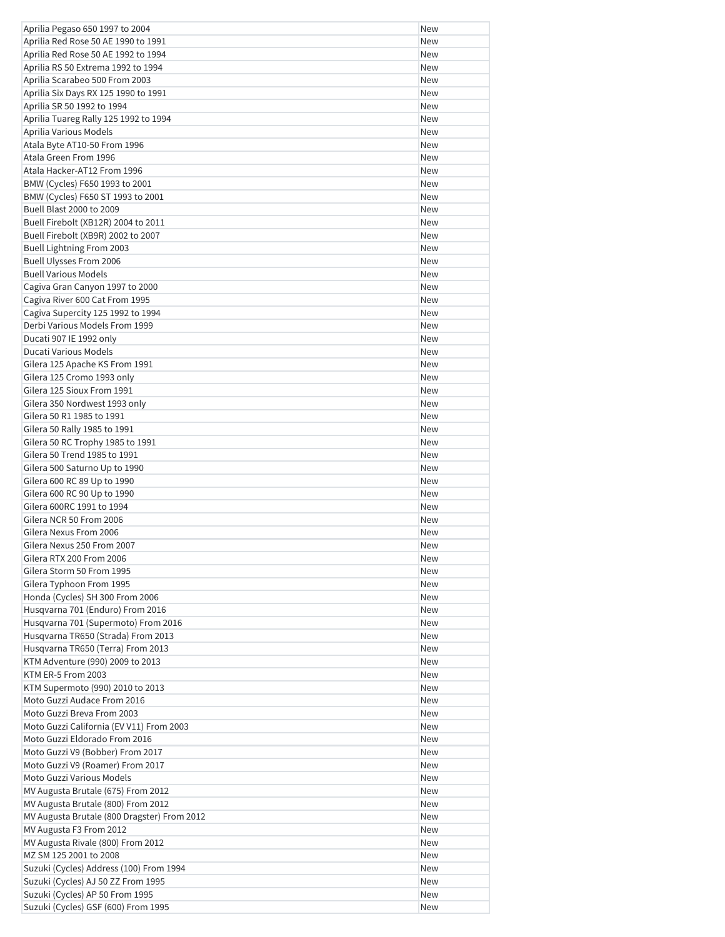| Aprilia Pegaso 650 1997 to 2004                                       | <b>New</b> |
|-----------------------------------------------------------------------|------------|
| Aprilia Red Rose 50 AE 1990 to 1991                                   | <b>New</b> |
| Aprilia Red Rose 50 AE 1992 to 1994                                   | <b>New</b> |
| Aprilia RS 50 Extrema 1992 to 1994                                    | <b>New</b> |
| Aprilia Scarabeo 500 From 2003                                        | <b>New</b> |
| Aprilia Six Days RX 125 1990 to 1991                                  | New        |
| Aprilia SR 50 1992 to 1994                                            | <b>New</b> |
| Aprilia Tuareg Rally 125 1992 to 1994                                 | <b>New</b> |
| Aprilia Various Models                                                | New        |
| Atala Byte AT10-50 From 1996                                          | New        |
| Atala Green From 1996                                                 | <b>New</b> |
| Atala Hacker-AT12 From 1996                                           | New        |
| BMW (Cycles) F650 1993 to 2001                                        | <b>New</b> |
| BMW (Cycles) F650 ST 1993 to 2001                                     | <b>New</b> |
| Buell Blast 2000 to 2009                                              | <b>New</b> |
| Buell Firebolt (XB12R) 2004 to 2011                                   | <b>New</b> |
| Buell Firebolt (XB9R) 2002 to 2007                                    | New        |
| <b>Buell Lightning From 2003</b>                                      | <b>New</b> |
| Buell Ulysses From 2006                                               | <b>New</b> |
| <b>Buell Various Models</b>                                           | New        |
| Cagiva Gran Canyon 1997 to 2000                                       | <b>New</b> |
| Cagiva River 600 Cat From 1995                                        | <b>New</b> |
| Cagiva Supercity 125 1992 to 1994                                     | <b>New</b> |
| Derbi Various Models From 1999                                        | New        |
| Ducati 907 IE 1992 only                                               | <b>New</b> |
| Ducati Various Models                                                 | <b>New</b> |
| Gilera 125 Apache KS From 1991                                        | <b>New</b> |
| Gilera 125 Cromo 1993 only                                            | New        |
| Gilera 125 Sioux From 1991                                            |            |
|                                                                       | <b>New</b> |
| Gilera 350 Nordwest 1993 only                                         | <b>New</b> |
| Gilera 50 R1 1985 to 1991                                             | New        |
| Gilera 50 Rally 1985 to 1991                                          | <b>New</b> |
| Gilera 50 RC Trophy 1985 to 1991                                      | <b>New</b> |
| Gilera 50 Trend 1985 to 1991                                          | <b>New</b> |
| Gilera 500 Saturno Up to 1990                                         | New        |
| Gilera 600 RC 89 Up to 1990                                           | <b>New</b> |
| Gilera 600 RC 90 Up to 1990                                           | <b>New</b> |
| Gilera 600RC 1991 to 1994                                             | New        |
| Gilera NCR 50 From 2006                                               | New        |
| Gilera Nexus From 2006                                                | New        |
| Gilera Nexus 250 From 2007                                            | New        |
| Gilera RTX 200 From 2006                                              | New        |
| Gilera Storm 50 From 1995                                             | New        |
| Gilera Typhoon From 1995                                              | New        |
| Honda (Cycles) SH 300 From 2006                                       | New        |
| Husqvarna 701 (Enduro) From 2016                                      | New        |
| Husqvarna 701 (Supermoto) From 2016                                   | New        |
| Husqvarna TR650 (Strada) From 2013                                    | New        |
| Husqvarna TR650 (Terra) From 2013                                     | New        |
| KTM Adventure (990) 2009 to 2013                                      | New        |
| KTM ER-5 From 2003                                                    | New        |
| KTM Supermoto (990) 2010 to 2013                                      | New        |
| Moto Guzzi Audace From 2016                                           | New        |
| Moto Guzzi Breva From 2003                                            | New        |
| Moto Guzzi California (EV V11) From 2003                              | New        |
| Moto Guzzi Eldorado From 2016                                         | New        |
| Moto Guzzi V9 (Bobber) From 2017                                      | New        |
| Moto Guzzi V9 (Roamer) From 2017                                      | New        |
| Moto Guzzi Various Models                                             | New        |
| MV Augusta Brutale (675) From 2012                                    | New        |
| MV Augusta Brutale (800) From 2012                                    | New        |
| MV Augusta Brutale (800 Dragster) From 2012                           | New        |
| MV Augusta F3 From 2012                                               | New        |
| MV Augusta Rivale (800) From 2012                                     | New        |
|                                                                       |            |
|                                                                       |            |
| MZ SM 125 2001 to 2008                                                | New        |
| Suzuki (Cycles) Address (100) From 1994                               | New        |
| Suzuki (Cycles) AJ 50 ZZ From 1995<br>Suzuki (Cycles) AP 50 From 1995 | New<br>New |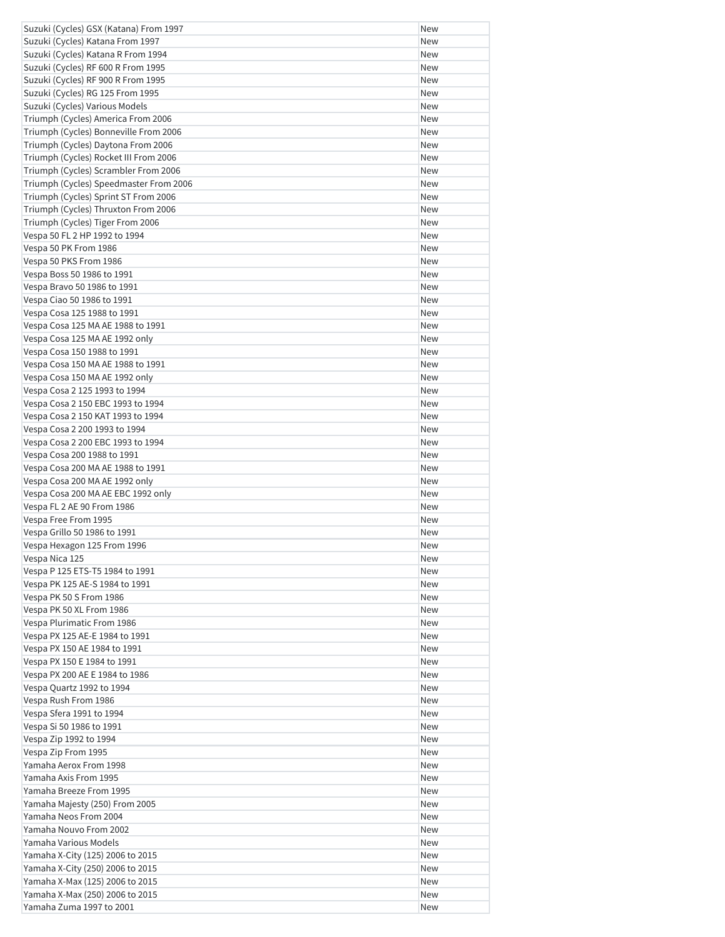| Suzuki (Cycles) GSX (Katana) From 1997                             | <b>New</b> |
|--------------------------------------------------------------------|------------|
| Suzuki (Cycles) Katana From 1997                                   | New        |
| Suzuki (Cycles) Katana R From 1994                                 | New        |
| Suzuki (Cycles) RF 600 R From 1995                                 | New        |
| Suzuki (Cycles) RF 900 R From 1995                                 | New        |
| Suzuki (Cycles) RG 125 From 1995                                   | New        |
| Suzuki (Cycles) Various Models                                     | New        |
| Triumph (Cycles) America From 2006                                 | <b>New</b> |
| Triumph (Cycles) Bonneville From 2006                              | New        |
| Triumph (Cycles) Daytona From 2006                                 | New        |
| Triumph (Cycles) Rocket III From 2006                              | New        |
| Triumph (Cycles) Scrambler From 2006                               | New        |
| Triumph (Cycles) Speedmaster From 2006                             | New        |
| Triumph (Cycles) Sprint ST From 2006                               | New        |
| Triumph (Cycles) Thruxton From 2006                                | New        |
|                                                                    |            |
| Triumph (Cycles) Tiger From 2006                                   | New        |
| Vespa 50 FL 2 HP 1992 to 1994                                      | New        |
| Vespa 50 PK From 1986                                              | New        |
| Vespa 50 PKS From 1986                                             | <b>New</b> |
| Vespa Boss 50 1986 to 1991                                         | New        |
| Vespa Bravo 50 1986 to 1991                                        | New        |
| Vespa Ciao 50 1986 to 1991                                         | New        |
| Vespa Cosa 125 1988 to 1991                                        | New        |
| Vespa Cosa 125 MA AE 1988 to 1991                                  | New        |
| Vespa Cosa 125 MA AE 1992 only                                     | New        |
| Vespa Cosa 150 1988 to 1991                                        | New        |
| Vespa Cosa 150 MA AE 1988 to 1991                                  | New        |
| Vespa Cosa 150 MA AE 1992 only                                     | New        |
| Vespa Cosa 2 125 1993 to 1994                                      | New        |
| Vespa Cosa 2 150 EBC 1993 to 1994                                  | New        |
| Vespa Cosa 2 150 KAT 1993 to 1994                                  | New        |
| Vespa Cosa 2 200 1993 to 1994                                      | New        |
| Vespa Cosa 2 200 EBC 1993 to 1994                                  | New        |
| Vespa Cosa 200 1988 to 1991                                        | New        |
| Vespa Cosa 200 MA AE 1988 to 1991                                  | New        |
| Vespa Cosa 200 MA AE 1992 only                                     | New        |
| Vespa Cosa 200 MA AE EBC 1992 only                                 | <b>New</b> |
| Vespa FL 2 AE 90 From 1986                                         | New        |
| Vespa Free From 1995                                               | New        |
| Vespa Grillo 50 1986 to 1991                                       | New        |
| Vespa Hexagon 125 From 1996                                        | New        |
| Vespa Nica 125                                                     | New        |
| Vespa P 125 ETS-T5 1984 to 1991                                    | New        |
|                                                                    |            |
| Vespa PK 125 AE-S 1984 to 1991                                     | New        |
| Vespa PK 50 S From 1986                                            | New        |
| Vespa PK 50 XL From 1986                                           | New        |
| Vespa Plurimatic From 1986                                         | New        |
| Vespa PX 125 AE-E 1984 to 1991                                     | New        |
| Vespa PX 150 AE 1984 to 1991                                       | New        |
| Vespa PX 150 E 1984 to 1991                                        | New        |
| Vespa PX 200 AE E 1984 to 1986                                     | New        |
| Vespa Quartz 1992 to 1994                                          | New        |
| Vespa Rush From 1986                                               |            |
|                                                                    | New        |
| Vespa Sfera 1991 to 1994                                           | New        |
| Vespa Si 50 1986 to 1991                                           | New        |
| Vespa Zip 1992 to 1994                                             | New        |
| Vespa Zip From 1995                                                | New        |
| Yamaha Aerox From 1998                                             | New        |
| Yamaha Axis From 1995                                              | New        |
| Yamaha Breeze From 1995                                            | New        |
| Yamaha Majesty (250) From 2005                                     | New        |
| Yamaha Neos From 2004                                              | New        |
| Yamaha Nouvo From 2002                                             | New        |
| Yamaha Various Models                                              | New        |
|                                                                    |            |
| Yamaha X-City (125) 2006 to 2015                                   | New        |
| Yamaha X-City (250) 2006 to 2015                                   | New        |
| Yamaha X-Max (125) 2006 to 2015<br>Yamaha X-Max (250) 2006 to 2015 | New<br>New |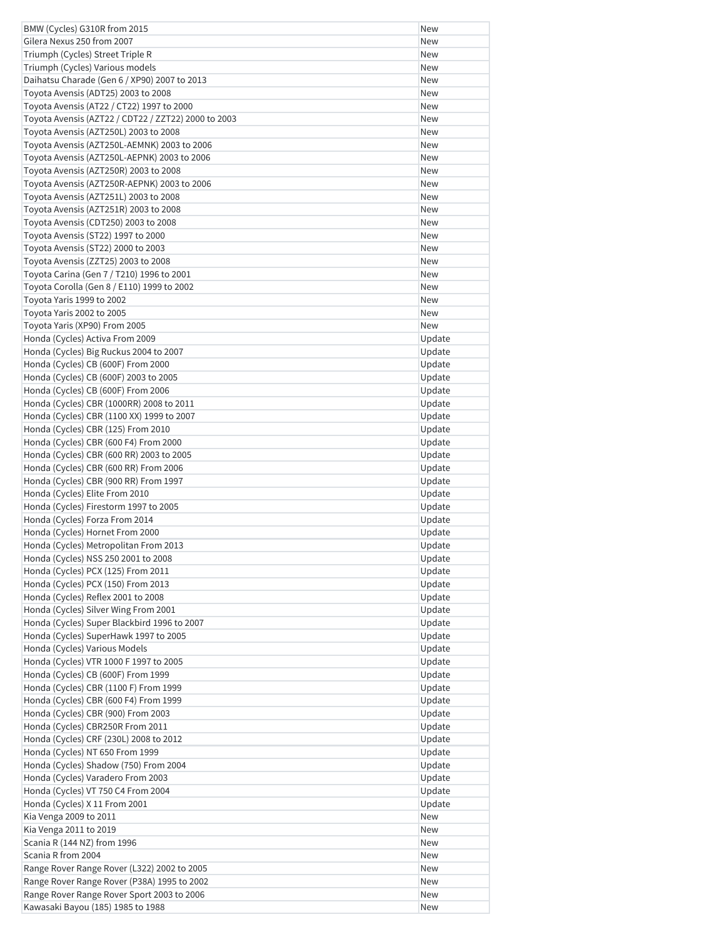| BMW (Cycles) G310R from 2015                        | New        |
|-----------------------------------------------------|------------|
| Gilera Nexus 250 from 2007                          | New        |
| Triumph (Cycles) Street Triple R                    | New        |
| Triumph (Cycles) Various models                     | New        |
| Daihatsu Charade (Gen 6 / XP90) 2007 to 2013        | New        |
| Toyota Avensis (ADT25) 2003 to 2008                 | <b>New</b> |
| Toyota Avensis (AT22 / CT22) 1997 to 2000           | New        |
| Toyota Avensis (AZT22 / CDT22 / ZZT22) 2000 to 2003 | New        |
| Toyota Avensis (AZT250L) 2003 to 2008               | New        |
| Toyota Avensis (AZT250L-AEMNK) 2003 to 2006         | New        |
| Toyota Avensis (AZT250L-AEPNK) 2003 to 2006         | New        |
| Toyota Avensis (AZT250R) 2003 to 2008               | New        |
| Toyota Avensis (AZT250R-AEPNK) 2003 to 2006         | New        |
| Toyota Avensis (AZT251L) 2003 to 2008               | New        |
| Toyota Avensis (AZT251R) 2003 to 2008               | New        |
| Toyota Avensis (CDT250) 2003 to 2008                | New        |
| Toyota Avensis (ST22) 1997 to 2000                  | New        |
| Toyota Avensis (ST22) 2000 to 2003                  | New        |
| Toyota Avensis (ZZT25) 2003 to 2008                 | New        |
| Toyota Carina (Gen 7 / T210) 1996 to 2001           | New        |
| Toyota Corolla (Gen 8 / E110) 1999 to 2002          | New        |
| Toyota Yaris 1999 to 2002                           | New        |
| Toyota Yaris 2002 to 2005                           | New        |
| Toyota Yaris (XP90) From 2005                       | New        |
| Honda (Cycles) Activa From 2009                     | Update     |
| Honda (Cycles) Big Ruckus 2004 to 2007              | Update     |
| Honda (Cycles) CB (600F) From 2000                  | Update     |
| Honda (Cycles) CB (600F) 2003 to 2005               | Update     |
| Honda (Cycles) CB (600F) From 2006                  | Update     |
| Honda (Cycles) CBR (1000RR) 2008 to 2011            | Update     |
| Honda (Cycles) CBR (1100 XX) 1999 to 2007           | Update     |
| Honda (Cycles) CBR (125) From 2010                  | Update     |
| Honda (Cycles) CBR (600 F4) From 2000               | Update     |
| Honda (Cycles) CBR (600 RR) 2003 to 2005            | Update     |
| Honda (Cycles) CBR (600 RR) From 2006               | Update     |
| Honda (Cycles) CBR (900 RR) From 1997               | Update     |
| Honda (Cycles) Elite From 2010                      | Update     |
| Honda (Cycles) Firestorm 1997 to 2005               | Update     |
| Honda (Cycles) Forza From 2014                      | Update     |
| Honda (Cycles) Hornet From 2000                     | Update     |
| Honda (Cycles) Metropolitan From 2013               | Update     |
| Honda (Cycles) NSS 250 2001 to 2008                 | Update     |
| Honda (Cycles) PCX (125) From 2011                  | Update     |
| Honda (Cycles) PCX (150) From 2013                  | Update     |
| Honda (Cycles) Reflex 2001 to 2008                  | Update     |
| Honda (Cycles) Silver Wing From 2001                | Update     |
| Honda (Cycles) Super Blackbird 1996 to 2007         | Update     |
| Honda (Cycles) SuperHawk 1997 to 2005               | Update     |
| Honda (Cycles) Various Models                       | Update     |
| Honda (Cycles) VTR 1000 F 1997 to 2005              | Update     |
| Honda (Cycles) CB (600F) From 1999                  | Update     |
| Honda (Cycles) CBR (1100 F) From 1999               | Update     |
| Honda (Cycles) CBR (600 F4) From 1999               | Update     |
| Honda (Cycles) CBR (900) From 2003                  | Update     |
| Honda (Cycles) CBR250R From 2011                    | Update     |
| Honda (Cycles) CRF (230L) 2008 to 2012              | Update     |
| Honda (Cycles) NT 650 From 1999                     | Update     |
| Honda (Cycles) Shadow (750) From 2004               | Update     |
| Honda (Cycles) Varadero From 2003                   | Update     |
| Honda (Cycles) VT 750 C4 From 2004                  | Update     |
| Honda (Cycles) X 11 From 2001                       | Update     |
| Kia Venga 2009 to 2011                              | New        |
| Kia Venga 2011 to 2019                              | New        |
| Scania R (144 NZ) from 1996                         | New        |
| Scania R from 2004                                  | New        |
| Range Rover Range Rover (L322) 2002 to 2005         | New        |
| Range Rover Range Rover (P38A) 1995 to 2002         | New        |
| Range Rover Range Rover Sport 2003 to 2006          | New        |
| Kawasaki Bayou (185) 1985 to 1988                   | New        |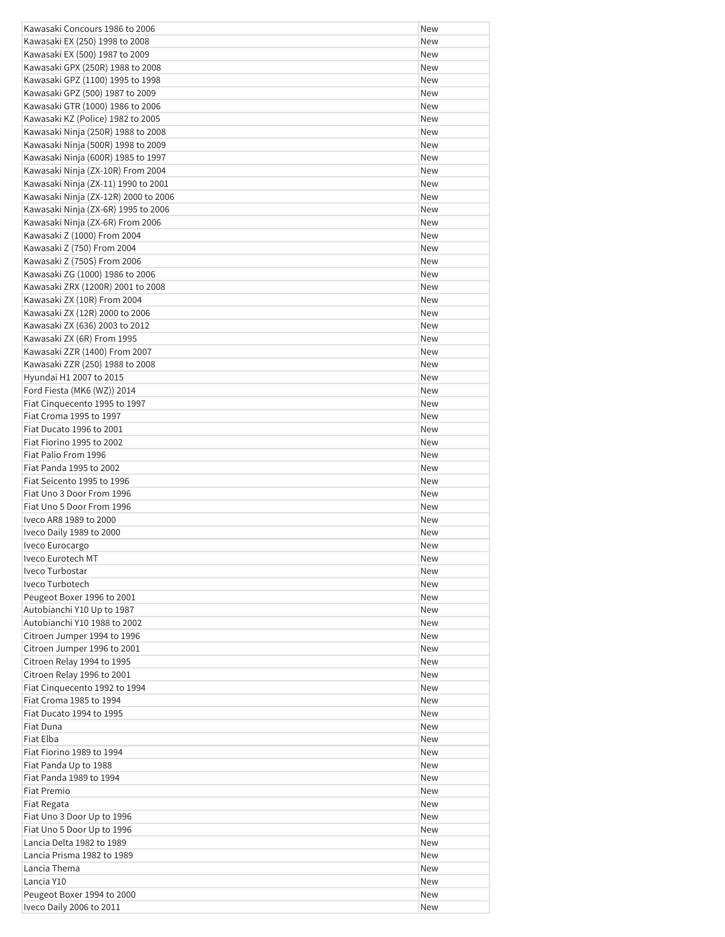| Kawasaki EX (250) 1998 to 2008<br>New<br>Kawasaki EX (500) 1987 to 2009<br>New<br>Kawasaki GPX (250R) 1988 to 2008<br>New<br>Kawasaki GPZ (1100) 1995 to 1998<br>New<br>Kawasaki GPZ (500) 1987 to 2009<br>New<br>Kawasaki GTR (1000) 1986 to 2006<br>New<br>Kawasaki KZ (Police) 1982 to 2005<br>New<br>Kawasaki Ninja (250R) 1988 to 2008<br>New<br>Kawasaki Ninja (500R) 1998 to 2009<br>New<br>Kawasaki Ninja (600R) 1985 to 1997<br><b>New</b><br>Kawasaki Ninja (ZX-10R) From 2004<br>New<br>Kawasaki Ninja (ZX-11) 1990 to 2001<br>New<br>Kawasaki Ninja (ZX-12R) 2000 to 2006<br><b>New</b><br>Kawasaki Ninja (ZX-6R) 1995 to 2006<br>New<br>Kawasaki Ninja (ZX-6R) From 2006<br>New<br>Kawasaki Z (1000) From 2004<br>New<br>Kawasaki Z (750) From 2004<br>New<br>Kawasaki Z (750S) From 2006<br>New<br>Kawasaki ZG (1000) 1986 to 2006<br>New<br>Kawasaki ZRX (1200R) 2001 to 2008<br>New<br>Kawasaki ZX (10R) From 2004<br>New<br>Kawasaki ZX (12R) 2000 to 2006<br>New<br>Kawasaki ZX (636) 2003 to 2012<br>New<br>Kawasaki ZX (6R) From 1995<br><b>New</b><br>Kawasaki ZZR (1400) From 2007<br>New<br>Kawasaki ZZR (250) 1988 to 2008<br>New<br>Hyundai H1 2007 to 2015<br>New<br>Ford Fiesta (MK6 (WZ)) 2014<br>New<br>Fiat Cinquecento 1995 to 1997<br>New<br>Fiat Croma 1995 to 1997<br>New<br>Fiat Ducato 1996 to 2001<br>New<br>Fiat Fiorino 1995 to 2002<br>New<br>Fiat Palio From 1996<br>New<br>Fiat Panda 1995 to 2002<br>New<br>Fiat Seicento 1995 to 1996<br><b>New</b><br>Fiat Uno 3 Door From 1996<br>New<br>Fiat Uno 5 Door From 1996<br>New<br>Iveco AR8 1989 to 2000<br><b>New</b><br>Iveco Daily 1989 to 2000<br>New<br>Iveco Eurocargo<br>New<br>Iveco Eurotech MT<br>New<br>Iveco Turbostar<br>New<br>Iveco Turbotech<br>New<br>Peugeot Boxer 1996 to 2001<br>New<br>Autobianchi Y10 Up to 1987<br>New<br>Autobianchi Y10 1988 to 2002<br>New<br>Citroen Jumper 1994 to 1996<br>New<br>Citroen Jumper 1996 to 2001<br>New<br>Citroen Relay 1994 to 1995<br><b>New</b><br>Citroen Relay 1996 to 2001<br>New<br>Fiat Cinquecento 1992 to 1994<br>New<br>Fiat Croma 1985 to 1994<br>New<br>Fiat Ducato 1994 to 1995<br>New<br>Fiat Duna<br>New<br>Fiat Elba<br>New<br>Fiat Fiorino 1989 to 1994<br>New<br>Fiat Panda Up to 1988<br>New<br>Fiat Panda 1989 to 1994<br>New<br><b>Fiat Premio</b><br>New<br>Fiat Regata<br><b>New</b><br>Fiat Uno 3 Door Up to 1996<br>New<br>Fiat Uno 5 Door Up to 1996<br>New<br>Lancia Delta 1982 to 1989<br>New<br>Lancia Prisma 1982 to 1989<br>New<br>Lancia Thema<br>New<br>Lancia Y10<br>New<br>Peugeot Boxer 1994 to 2000<br>New | Kawasaki Concours 1986 to 2006 | New |
|-----------------------------------------------------------------------------------------------------------------------------------------------------------------------------------------------------------------------------------------------------------------------------------------------------------------------------------------------------------------------------------------------------------------------------------------------------------------------------------------------------------------------------------------------------------------------------------------------------------------------------------------------------------------------------------------------------------------------------------------------------------------------------------------------------------------------------------------------------------------------------------------------------------------------------------------------------------------------------------------------------------------------------------------------------------------------------------------------------------------------------------------------------------------------------------------------------------------------------------------------------------------------------------------------------------------------------------------------------------------------------------------------------------------------------------------------------------------------------------------------------------------------------------------------------------------------------------------------------------------------------------------------------------------------------------------------------------------------------------------------------------------------------------------------------------------------------------------------------------------------------------------------------------------------------------------------------------------------------------------------------------------------------------------------------------------------------------------------------------------------------------------------------------------------------------------------------------------------------------------------------------------------------------------------------------------------------------------------------------------------------------------------------------------------------------------------------------------------------------------------------------------------------------------------------------------------------------------------------|--------------------------------|-----|
|                                                                                                                                                                                                                                                                                                                                                                                                                                                                                                                                                                                                                                                                                                                                                                                                                                                                                                                                                                                                                                                                                                                                                                                                                                                                                                                                                                                                                                                                                                                                                                                                                                                                                                                                                                                                                                                                                                                                                                                                                                                                                                                                                                                                                                                                                                                                                                                                                                                                                                                                                                                                     |                                |     |
|                                                                                                                                                                                                                                                                                                                                                                                                                                                                                                                                                                                                                                                                                                                                                                                                                                                                                                                                                                                                                                                                                                                                                                                                                                                                                                                                                                                                                                                                                                                                                                                                                                                                                                                                                                                                                                                                                                                                                                                                                                                                                                                                                                                                                                                                                                                                                                                                                                                                                                                                                                                                     |                                |     |
|                                                                                                                                                                                                                                                                                                                                                                                                                                                                                                                                                                                                                                                                                                                                                                                                                                                                                                                                                                                                                                                                                                                                                                                                                                                                                                                                                                                                                                                                                                                                                                                                                                                                                                                                                                                                                                                                                                                                                                                                                                                                                                                                                                                                                                                                                                                                                                                                                                                                                                                                                                                                     |                                |     |
|                                                                                                                                                                                                                                                                                                                                                                                                                                                                                                                                                                                                                                                                                                                                                                                                                                                                                                                                                                                                                                                                                                                                                                                                                                                                                                                                                                                                                                                                                                                                                                                                                                                                                                                                                                                                                                                                                                                                                                                                                                                                                                                                                                                                                                                                                                                                                                                                                                                                                                                                                                                                     |                                |     |
|                                                                                                                                                                                                                                                                                                                                                                                                                                                                                                                                                                                                                                                                                                                                                                                                                                                                                                                                                                                                                                                                                                                                                                                                                                                                                                                                                                                                                                                                                                                                                                                                                                                                                                                                                                                                                                                                                                                                                                                                                                                                                                                                                                                                                                                                                                                                                                                                                                                                                                                                                                                                     |                                |     |
|                                                                                                                                                                                                                                                                                                                                                                                                                                                                                                                                                                                                                                                                                                                                                                                                                                                                                                                                                                                                                                                                                                                                                                                                                                                                                                                                                                                                                                                                                                                                                                                                                                                                                                                                                                                                                                                                                                                                                                                                                                                                                                                                                                                                                                                                                                                                                                                                                                                                                                                                                                                                     |                                |     |
|                                                                                                                                                                                                                                                                                                                                                                                                                                                                                                                                                                                                                                                                                                                                                                                                                                                                                                                                                                                                                                                                                                                                                                                                                                                                                                                                                                                                                                                                                                                                                                                                                                                                                                                                                                                                                                                                                                                                                                                                                                                                                                                                                                                                                                                                                                                                                                                                                                                                                                                                                                                                     |                                |     |
|                                                                                                                                                                                                                                                                                                                                                                                                                                                                                                                                                                                                                                                                                                                                                                                                                                                                                                                                                                                                                                                                                                                                                                                                                                                                                                                                                                                                                                                                                                                                                                                                                                                                                                                                                                                                                                                                                                                                                                                                                                                                                                                                                                                                                                                                                                                                                                                                                                                                                                                                                                                                     |                                |     |
|                                                                                                                                                                                                                                                                                                                                                                                                                                                                                                                                                                                                                                                                                                                                                                                                                                                                                                                                                                                                                                                                                                                                                                                                                                                                                                                                                                                                                                                                                                                                                                                                                                                                                                                                                                                                                                                                                                                                                                                                                                                                                                                                                                                                                                                                                                                                                                                                                                                                                                                                                                                                     |                                |     |
|                                                                                                                                                                                                                                                                                                                                                                                                                                                                                                                                                                                                                                                                                                                                                                                                                                                                                                                                                                                                                                                                                                                                                                                                                                                                                                                                                                                                                                                                                                                                                                                                                                                                                                                                                                                                                                                                                                                                                                                                                                                                                                                                                                                                                                                                                                                                                                                                                                                                                                                                                                                                     |                                |     |
|                                                                                                                                                                                                                                                                                                                                                                                                                                                                                                                                                                                                                                                                                                                                                                                                                                                                                                                                                                                                                                                                                                                                                                                                                                                                                                                                                                                                                                                                                                                                                                                                                                                                                                                                                                                                                                                                                                                                                                                                                                                                                                                                                                                                                                                                                                                                                                                                                                                                                                                                                                                                     |                                |     |
|                                                                                                                                                                                                                                                                                                                                                                                                                                                                                                                                                                                                                                                                                                                                                                                                                                                                                                                                                                                                                                                                                                                                                                                                                                                                                                                                                                                                                                                                                                                                                                                                                                                                                                                                                                                                                                                                                                                                                                                                                                                                                                                                                                                                                                                                                                                                                                                                                                                                                                                                                                                                     |                                |     |
|                                                                                                                                                                                                                                                                                                                                                                                                                                                                                                                                                                                                                                                                                                                                                                                                                                                                                                                                                                                                                                                                                                                                                                                                                                                                                                                                                                                                                                                                                                                                                                                                                                                                                                                                                                                                                                                                                                                                                                                                                                                                                                                                                                                                                                                                                                                                                                                                                                                                                                                                                                                                     |                                |     |
|                                                                                                                                                                                                                                                                                                                                                                                                                                                                                                                                                                                                                                                                                                                                                                                                                                                                                                                                                                                                                                                                                                                                                                                                                                                                                                                                                                                                                                                                                                                                                                                                                                                                                                                                                                                                                                                                                                                                                                                                                                                                                                                                                                                                                                                                                                                                                                                                                                                                                                                                                                                                     |                                |     |
|                                                                                                                                                                                                                                                                                                                                                                                                                                                                                                                                                                                                                                                                                                                                                                                                                                                                                                                                                                                                                                                                                                                                                                                                                                                                                                                                                                                                                                                                                                                                                                                                                                                                                                                                                                                                                                                                                                                                                                                                                                                                                                                                                                                                                                                                                                                                                                                                                                                                                                                                                                                                     |                                |     |
|                                                                                                                                                                                                                                                                                                                                                                                                                                                                                                                                                                                                                                                                                                                                                                                                                                                                                                                                                                                                                                                                                                                                                                                                                                                                                                                                                                                                                                                                                                                                                                                                                                                                                                                                                                                                                                                                                                                                                                                                                                                                                                                                                                                                                                                                                                                                                                                                                                                                                                                                                                                                     |                                |     |
|                                                                                                                                                                                                                                                                                                                                                                                                                                                                                                                                                                                                                                                                                                                                                                                                                                                                                                                                                                                                                                                                                                                                                                                                                                                                                                                                                                                                                                                                                                                                                                                                                                                                                                                                                                                                                                                                                                                                                                                                                                                                                                                                                                                                                                                                                                                                                                                                                                                                                                                                                                                                     |                                |     |
|                                                                                                                                                                                                                                                                                                                                                                                                                                                                                                                                                                                                                                                                                                                                                                                                                                                                                                                                                                                                                                                                                                                                                                                                                                                                                                                                                                                                                                                                                                                                                                                                                                                                                                                                                                                                                                                                                                                                                                                                                                                                                                                                                                                                                                                                                                                                                                                                                                                                                                                                                                                                     |                                |     |
|                                                                                                                                                                                                                                                                                                                                                                                                                                                                                                                                                                                                                                                                                                                                                                                                                                                                                                                                                                                                                                                                                                                                                                                                                                                                                                                                                                                                                                                                                                                                                                                                                                                                                                                                                                                                                                                                                                                                                                                                                                                                                                                                                                                                                                                                                                                                                                                                                                                                                                                                                                                                     |                                |     |
|                                                                                                                                                                                                                                                                                                                                                                                                                                                                                                                                                                                                                                                                                                                                                                                                                                                                                                                                                                                                                                                                                                                                                                                                                                                                                                                                                                                                                                                                                                                                                                                                                                                                                                                                                                                                                                                                                                                                                                                                                                                                                                                                                                                                                                                                                                                                                                                                                                                                                                                                                                                                     |                                |     |
|                                                                                                                                                                                                                                                                                                                                                                                                                                                                                                                                                                                                                                                                                                                                                                                                                                                                                                                                                                                                                                                                                                                                                                                                                                                                                                                                                                                                                                                                                                                                                                                                                                                                                                                                                                                                                                                                                                                                                                                                                                                                                                                                                                                                                                                                                                                                                                                                                                                                                                                                                                                                     |                                |     |
|                                                                                                                                                                                                                                                                                                                                                                                                                                                                                                                                                                                                                                                                                                                                                                                                                                                                                                                                                                                                                                                                                                                                                                                                                                                                                                                                                                                                                                                                                                                                                                                                                                                                                                                                                                                                                                                                                                                                                                                                                                                                                                                                                                                                                                                                                                                                                                                                                                                                                                                                                                                                     |                                |     |
|                                                                                                                                                                                                                                                                                                                                                                                                                                                                                                                                                                                                                                                                                                                                                                                                                                                                                                                                                                                                                                                                                                                                                                                                                                                                                                                                                                                                                                                                                                                                                                                                                                                                                                                                                                                                                                                                                                                                                                                                                                                                                                                                                                                                                                                                                                                                                                                                                                                                                                                                                                                                     |                                |     |
|                                                                                                                                                                                                                                                                                                                                                                                                                                                                                                                                                                                                                                                                                                                                                                                                                                                                                                                                                                                                                                                                                                                                                                                                                                                                                                                                                                                                                                                                                                                                                                                                                                                                                                                                                                                                                                                                                                                                                                                                                                                                                                                                                                                                                                                                                                                                                                                                                                                                                                                                                                                                     |                                |     |
|                                                                                                                                                                                                                                                                                                                                                                                                                                                                                                                                                                                                                                                                                                                                                                                                                                                                                                                                                                                                                                                                                                                                                                                                                                                                                                                                                                                                                                                                                                                                                                                                                                                                                                                                                                                                                                                                                                                                                                                                                                                                                                                                                                                                                                                                                                                                                                                                                                                                                                                                                                                                     |                                |     |
|                                                                                                                                                                                                                                                                                                                                                                                                                                                                                                                                                                                                                                                                                                                                                                                                                                                                                                                                                                                                                                                                                                                                                                                                                                                                                                                                                                                                                                                                                                                                                                                                                                                                                                                                                                                                                                                                                                                                                                                                                                                                                                                                                                                                                                                                                                                                                                                                                                                                                                                                                                                                     |                                |     |
|                                                                                                                                                                                                                                                                                                                                                                                                                                                                                                                                                                                                                                                                                                                                                                                                                                                                                                                                                                                                                                                                                                                                                                                                                                                                                                                                                                                                                                                                                                                                                                                                                                                                                                                                                                                                                                                                                                                                                                                                                                                                                                                                                                                                                                                                                                                                                                                                                                                                                                                                                                                                     |                                |     |
|                                                                                                                                                                                                                                                                                                                                                                                                                                                                                                                                                                                                                                                                                                                                                                                                                                                                                                                                                                                                                                                                                                                                                                                                                                                                                                                                                                                                                                                                                                                                                                                                                                                                                                                                                                                                                                                                                                                                                                                                                                                                                                                                                                                                                                                                                                                                                                                                                                                                                                                                                                                                     |                                |     |
|                                                                                                                                                                                                                                                                                                                                                                                                                                                                                                                                                                                                                                                                                                                                                                                                                                                                                                                                                                                                                                                                                                                                                                                                                                                                                                                                                                                                                                                                                                                                                                                                                                                                                                                                                                                                                                                                                                                                                                                                                                                                                                                                                                                                                                                                                                                                                                                                                                                                                                                                                                                                     |                                |     |
|                                                                                                                                                                                                                                                                                                                                                                                                                                                                                                                                                                                                                                                                                                                                                                                                                                                                                                                                                                                                                                                                                                                                                                                                                                                                                                                                                                                                                                                                                                                                                                                                                                                                                                                                                                                                                                                                                                                                                                                                                                                                                                                                                                                                                                                                                                                                                                                                                                                                                                                                                                                                     |                                |     |
|                                                                                                                                                                                                                                                                                                                                                                                                                                                                                                                                                                                                                                                                                                                                                                                                                                                                                                                                                                                                                                                                                                                                                                                                                                                                                                                                                                                                                                                                                                                                                                                                                                                                                                                                                                                                                                                                                                                                                                                                                                                                                                                                                                                                                                                                                                                                                                                                                                                                                                                                                                                                     |                                |     |
|                                                                                                                                                                                                                                                                                                                                                                                                                                                                                                                                                                                                                                                                                                                                                                                                                                                                                                                                                                                                                                                                                                                                                                                                                                                                                                                                                                                                                                                                                                                                                                                                                                                                                                                                                                                                                                                                                                                                                                                                                                                                                                                                                                                                                                                                                                                                                                                                                                                                                                                                                                                                     |                                |     |
|                                                                                                                                                                                                                                                                                                                                                                                                                                                                                                                                                                                                                                                                                                                                                                                                                                                                                                                                                                                                                                                                                                                                                                                                                                                                                                                                                                                                                                                                                                                                                                                                                                                                                                                                                                                                                                                                                                                                                                                                                                                                                                                                                                                                                                                                                                                                                                                                                                                                                                                                                                                                     |                                |     |
|                                                                                                                                                                                                                                                                                                                                                                                                                                                                                                                                                                                                                                                                                                                                                                                                                                                                                                                                                                                                                                                                                                                                                                                                                                                                                                                                                                                                                                                                                                                                                                                                                                                                                                                                                                                                                                                                                                                                                                                                                                                                                                                                                                                                                                                                                                                                                                                                                                                                                                                                                                                                     |                                |     |
|                                                                                                                                                                                                                                                                                                                                                                                                                                                                                                                                                                                                                                                                                                                                                                                                                                                                                                                                                                                                                                                                                                                                                                                                                                                                                                                                                                                                                                                                                                                                                                                                                                                                                                                                                                                                                                                                                                                                                                                                                                                                                                                                                                                                                                                                                                                                                                                                                                                                                                                                                                                                     |                                |     |
|                                                                                                                                                                                                                                                                                                                                                                                                                                                                                                                                                                                                                                                                                                                                                                                                                                                                                                                                                                                                                                                                                                                                                                                                                                                                                                                                                                                                                                                                                                                                                                                                                                                                                                                                                                                                                                                                                                                                                                                                                                                                                                                                                                                                                                                                                                                                                                                                                                                                                                                                                                                                     |                                |     |
|                                                                                                                                                                                                                                                                                                                                                                                                                                                                                                                                                                                                                                                                                                                                                                                                                                                                                                                                                                                                                                                                                                                                                                                                                                                                                                                                                                                                                                                                                                                                                                                                                                                                                                                                                                                                                                                                                                                                                                                                                                                                                                                                                                                                                                                                                                                                                                                                                                                                                                                                                                                                     |                                |     |
|                                                                                                                                                                                                                                                                                                                                                                                                                                                                                                                                                                                                                                                                                                                                                                                                                                                                                                                                                                                                                                                                                                                                                                                                                                                                                                                                                                                                                                                                                                                                                                                                                                                                                                                                                                                                                                                                                                                                                                                                                                                                                                                                                                                                                                                                                                                                                                                                                                                                                                                                                                                                     |                                |     |
|                                                                                                                                                                                                                                                                                                                                                                                                                                                                                                                                                                                                                                                                                                                                                                                                                                                                                                                                                                                                                                                                                                                                                                                                                                                                                                                                                                                                                                                                                                                                                                                                                                                                                                                                                                                                                                                                                                                                                                                                                                                                                                                                                                                                                                                                                                                                                                                                                                                                                                                                                                                                     |                                |     |
|                                                                                                                                                                                                                                                                                                                                                                                                                                                                                                                                                                                                                                                                                                                                                                                                                                                                                                                                                                                                                                                                                                                                                                                                                                                                                                                                                                                                                                                                                                                                                                                                                                                                                                                                                                                                                                                                                                                                                                                                                                                                                                                                                                                                                                                                                                                                                                                                                                                                                                                                                                                                     |                                |     |
|                                                                                                                                                                                                                                                                                                                                                                                                                                                                                                                                                                                                                                                                                                                                                                                                                                                                                                                                                                                                                                                                                                                                                                                                                                                                                                                                                                                                                                                                                                                                                                                                                                                                                                                                                                                                                                                                                                                                                                                                                                                                                                                                                                                                                                                                                                                                                                                                                                                                                                                                                                                                     |                                |     |
|                                                                                                                                                                                                                                                                                                                                                                                                                                                                                                                                                                                                                                                                                                                                                                                                                                                                                                                                                                                                                                                                                                                                                                                                                                                                                                                                                                                                                                                                                                                                                                                                                                                                                                                                                                                                                                                                                                                                                                                                                                                                                                                                                                                                                                                                                                                                                                                                                                                                                                                                                                                                     |                                |     |
|                                                                                                                                                                                                                                                                                                                                                                                                                                                                                                                                                                                                                                                                                                                                                                                                                                                                                                                                                                                                                                                                                                                                                                                                                                                                                                                                                                                                                                                                                                                                                                                                                                                                                                                                                                                                                                                                                                                                                                                                                                                                                                                                                                                                                                                                                                                                                                                                                                                                                                                                                                                                     |                                |     |
|                                                                                                                                                                                                                                                                                                                                                                                                                                                                                                                                                                                                                                                                                                                                                                                                                                                                                                                                                                                                                                                                                                                                                                                                                                                                                                                                                                                                                                                                                                                                                                                                                                                                                                                                                                                                                                                                                                                                                                                                                                                                                                                                                                                                                                                                                                                                                                                                                                                                                                                                                                                                     |                                |     |
|                                                                                                                                                                                                                                                                                                                                                                                                                                                                                                                                                                                                                                                                                                                                                                                                                                                                                                                                                                                                                                                                                                                                                                                                                                                                                                                                                                                                                                                                                                                                                                                                                                                                                                                                                                                                                                                                                                                                                                                                                                                                                                                                                                                                                                                                                                                                                                                                                                                                                                                                                                                                     |                                |     |
|                                                                                                                                                                                                                                                                                                                                                                                                                                                                                                                                                                                                                                                                                                                                                                                                                                                                                                                                                                                                                                                                                                                                                                                                                                                                                                                                                                                                                                                                                                                                                                                                                                                                                                                                                                                                                                                                                                                                                                                                                                                                                                                                                                                                                                                                                                                                                                                                                                                                                                                                                                                                     |                                |     |
|                                                                                                                                                                                                                                                                                                                                                                                                                                                                                                                                                                                                                                                                                                                                                                                                                                                                                                                                                                                                                                                                                                                                                                                                                                                                                                                                                                                                                                                                                                                                                                                                                                                                                                                                                                                                                                                                                                                                                                                                                                                                                                                                                                                                                                                                                                                                                                                                                                                                                                                                                                                                     |                                |     |
|                                                                                                                                                                                                                                                                                                                                                                                                                                                                                                                                                                                                                                                                                                                                                                                                                                                                                                                                                                                                                                                                                                                                                                                                                                                                                                                                                                                                                                                                                                                                                                                                                                                                                                                                                                                                                                                                                                                                                                                                                                                                                                                                                                                                                                                                                                                                                                                                                                                                                                                                                                                                     |                                |     |
|                                                                                                                                                                                                                                                                                                                                                                                                                                                                                                                                                                                                                                                                                                                                                                                                                                                                                                                                                                                                                                                                                                                                                                                                                                                                                                                                                                                                                                                                                                                                                                                                                                                                                                                                                                                                                                                                                                                                                                                                                                                                                                                                                                                                                                                                                                                                                                                                                                                                                                                                                                                                     |                                |     |
|                                                                                                                                                                                                                                                                                                                                                                                                                                                                                                                                                                                                                                                                                                                                                                                                                                                                                                                                                                                                                                                                                                                                                                                                                                                                                                                                                                                                                                                                                                                                                                                                                                                                                                                                                                                                                                                                                                                                                                                                                                                                                                                                                                                                                                                                                                                                                                                                                                                                                                                                                                                                     |                                |     |
|                                                                                                                                                                                                                                                                                                                                                                                                                                                                                                                                                                                                                                                                                                                                                                                                                                                                                                                                                                                                                                                                                                                                                                                                                                                                                                                                                                                                                                                                                                                                                                                                                                                                                                                                                                                                                                                                                                                                                                                                                                                                                                                                                                                                                                                                                                                                                                                                                                                                                                                                                                                                     |                                |     |
|                                                                                                                                                                                                                                                                                                                                                                                                                                                                                                                                                                                                                                                                                                                                                                                                                                                                                                                                                                                                                                                                                                                                                                                                                                                                                                                                                                                                                                                                                                                                                                                                                                                                                                                                                                                                                                                                                                                                                                                                                                                                                                                                                                                                                                                                                                                                                                                                                                                                                                                                                                                                     |                                |     |
|                                                                                                                                                                                                                                                                                                                                                                                                                                                                                                                                                                                                                                                                                                                                                                                                                                                                                                                                                                                                                                                                                                                                                                                                                                                                                                                                                                                                                                                                                                                                                                                                                                                                                                                                                                                                                                                                                                                                                                                                                                                                                                                                                                                                                                                                                                                                                                                                                                                                                                                                                                                                     |                                |     |
|                                                                                                                                                                                                                                                                                                                                                                                                                                                                                                                                                                                                                                                                                                                                                                                                                                                                                                                                                                                                                                                                                                                                                                                                                                                                                                                                                                                                                                                                                                                                                                                                                                                                                                                                                                                                                                                                                                                                                                                                                                                                                                                                                                                                                                                                                                                                                                                                                                                                                                                                                                                                     |                                |     |
|                                                                                                                                                                                                                                                                                                                                                                                                                                                                                                                                                                                                                                                                                                                                                                                                                                                                                                                                                                                                                                                                                                                                                                                                                                                                                                                                                                                                                                                                                                                                                                                                                                                                                                                                                                                                                                                                                                                                                                                                                                                                                                                                                                                                                                                                                                                                                                                                                                                                                                                                                                                                     |                                |     |
|                                                                                                                                                                                                                                                                                                                                                                                                                                                                                                                                                                                                                                                                                                                                                                                                                                                                                                                                                                                                                                                                                                                                                                                                                                                                                                                                                                                                                                                                                                                                                                                                                                                                                                                                                                                                                                                                                                                                                                                                                                                                                                                                                                                                                                                                                                                                                                                                                                                                                                                                                                                                     |                                |     |
|                                                                                                                                                                                                                                                                                                                                                                                                                                                                                                                                                                                                                                                                                                                                                                                                                                                                                                                                                                                                                                                                                                                                                                                                                                                                                                                                                                                                                                                                                                                                                                                                                                                                                                                                                                                                                                                                                                                                                                                                                                                                                                                                                                                                                                                                                                                                                                                                                                                                                                                                                                                                     |                                |     |
|                                                                                                                                                                                                                                                                                                                                                                                                                                                                                                                                                                                                                                                                                                                                                                                                                                                                                                                                                                                                                                                                                                                                                                                                                                                                                                                                                                                                                                                                                                                                                                                                                                                                                                                                                                                                                                                                                                                                                                                                                                                                                                                                                                                                                                                                                                                                                                                                                                                                                                                                                                                                     |                                |     |
|                                                                                                                                                                                                                                                                                                                                                                                                                                                                                                                                                                                                                                                                                                                                                                                                                                                                                                                                                                                                                                                                                                                                                                                                                                                                                                                                                                                                                                                                                                                                                                                                                                                                                                                                                                                                                                                                                                                                                                                                                                                                                                                                                                                                                                                                                                                                                                                                                                                                                                                                                                                                     |                                |     |
|                                                                                                                                                                                                                                                                                                                                                                                                                                                                                                                                                                                                                                                                                                                                                                                                                                                                                                                                                                                                                                                                                                                                                                                                                                                                                                                                                                                                                                                                                                                                                                                                                                                                                                                                                                                                                                                                                                                                                                                                                                                                                                                                                                                                                                                                                                                                                                                                                                                                                                                                                                                                     |                                |     |
|                                                                                                                                                                                                                                                                                                                                                                                                                                                                                                                                                                                                                                                                                                                                                                                                                                                                                                                                                                                                                                                                                                                                                                                                                                                                                                                                                                                                                                                                                                                                                                                                                                                                                                                                                                                                                                                                                                                                                                                                                                                                                                                                                                                                                                                                                                                                                                                                                                                                                                                                                                                                     |                                |     |
|                                                                                                                                                                                                                                                                                                                                                                                                                                                                                                                                                                                                                                                                                                                                                                                                                                                                                                                                                                                                                                                                                                                                                                                                                                                                                                                                                                                                                                                                                                                                                                                                                                                                                                                                                                                                                                                                                                                                                                                                                                                                                                                                                                                                                                                                                                                                                                                                                                                                                                                                                                                                     |                                |     |
|                                                                                                                                                                                                                                                                                                                                                                                                                                                                                                                                                                                                                                                                                                                                                                                                                                                                                                                                                                                                                                                                                                                                                                                                                                                                                                                                                                                                                                                                                                                                                                                                                                                                                                                                                                                                                                                                                                                                                                                                                                                                                                                                                                                                                                                                                                                                                                                                                                                                                                                                                                                                     |                                |     |
|                                                                                                                                                                                                                                                                                                                                                                                                                                                                                                                                                                                                                                                                                                                                                                                                                                                                                                                                                                                                                                                                                                                                                                                                                                                                                                                                                                                                                                                                                                                                                                                                                                                                                                                                                                                                                                                                                                                                                                                                                                                                                                                                                                                                                                                                                                                                                                                                                                                                                                                                                                                                     |                                |     |
|                                                                                                                                                                                                                                                                                                                                                                                                                                                                                                                                                                                                                                                                                                                                                                                                                                                                                                                                                                                                                                                                                                                                                                                                                                                                                                                                                                                                                                                                                                                                                                                                                                                                                                                                                                                                                                                                                                                                                                                                                                                                                                                                                                                                                                                                                                                                                                                                                                                                                                                                                                                                     |                                |     |
|                                                                                                                                                                                                                                                                                                                                                                                                                                                                                                                                                                                                                                                                                                                                                                                                                                                                                                                                                                                                                                                                                                                                                                                                                                                                                                                                                                                                                                                                                                                                                                                                                                                                                                                                                                                                                                                                                                                                                                                                                                                                                                                                                                                                                                                                                                                                                                                                                                                                                                                                                                                                     |                                |     |
|                                                                                                                                                                                                                                                                                                                                                                                                                                                                                                                                                                                                                                                                                                                                                                                                                                                                                                                                                                                                                                                                                                                                                                                                                                                                                                                                                                                                                                                                                                                                                                                                                                                                                                                                                                                                                                                                                                                                                                                                                                                                                                                                                                                                                                                                                                                                                                                                                                                                                                                                                                                                     |                                |     |
|                                                                                                                                                                                                                                                                                                                                                                                                                                                                                                                                                                                                                                                                                                                                                                                                                                                                                                                                                                                                                                                                                                                                                                                                                                                                                                                                                                                                                                                                                                                                                                                                                                                                                                                                                                                                                                                                                                                                                                                                                                                                                                                                                                                                                                                                                                                                                                                                                                                                                                                                                                                                     |                                |     |
|                                                                                                                                                                                                                                                                                                                                                                                                                                                                                                                                                                                                                                                                                                                                                                                                                                                                                                                                                                                                                                                                                                                                                                                                                                                                                                                                                                                                                                                                                                                                                                                                                                                                                                                                                                                                                                                                                                                                                                                                                                                                                                                                                                                                                                                                                                                                                                                                                                                                                                                                                                                                     |                                |     |
|                                                                                                                                                                                                                                                                                                                                                                                                                                                                                                                                                                                                                                                                                                                                                                                                                                                                                                                                                                                                                                                                                                                                                                                                                                                                                                                                                                                                                                                                                                                                                                                                                                                                                                                                                                                                                                                                                                                                                                                                                                                                                                                                                                                                                                                                                                                                                                                                                                                                                                                                                                                                     | Iveco Daily 2006 to 2011       | New |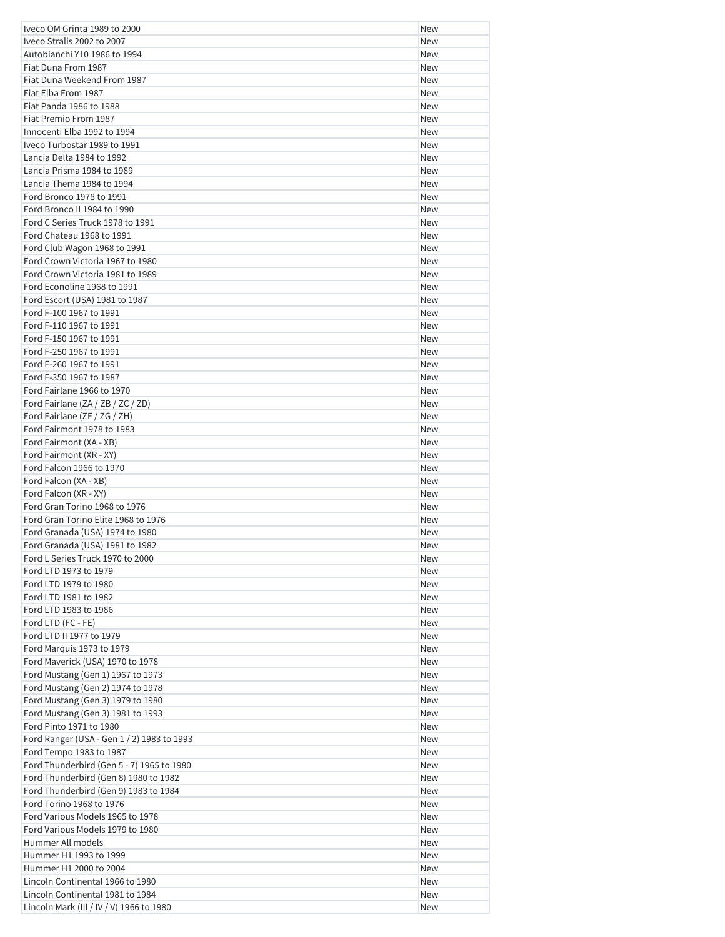| Iveco OM Grinta 1989 to 2000                                                 | New        |
|------------------------------------------------------------------------------|------------|
| Iveco Stralis 2002 to 2007                                                   | New        |
| Autobianchi Y10 1986 to 1994                                                 | New        |
| Fiat Duna From 1987                                                          | New        |
| Fiat Duna Weekend From 1987                                                  | New        |
| Fiat Elba From 1987                                                          | New        |
| Fiat Panda 1986 to 1988                                                      | New        |
| Fiat Premio From 1987                                                        | New        |
| Innocenti Elba 1992 to 1994                                                  | New        |
| Iveco Turbostar 1989 to 1991                                                 | New        |
| Lancia Delta 1984 to 1992                                                    | New        |
| Lancia Prisma 1984 to 1989                                                   | New        |
| Lancia Thema 1984 to 1994                                                    | New        |
| Ford Bronco 1978 to 1991                                                     | New        |
| Ford Bronco II 1984 to 1990                                                  | New        |
| Ford C Series Truck 1978 to 1991<br>Ford Chateau 1968 to 1991                | New<br>New |
| Ford Club Wagon 1968 to 1991                                                 | New        |
| Ford Crown Victoria 1967 to 1980                                             | New        |
| Ford Crown Victoria 1981 to 1989                                             | New        |
| Ford Econoline 1968 to 1991                                                  | New        |
| Ford Escort (USA) 1981 to 1987                                               | New        |
| Ford F-100 1967 to 1991                                                      | New        |
| Ford F-110 1967 to 1991                                                      | New        |
| Ford F-150 1967 to 1991                                                      | New        |
| Ford F-250 1967 to 1991                                                      | New        |
| Ford F-260 1967 to 1991                                                      | New        |
| Ford F-350 1967 to 1987                                                      | New        |
| Ford Fairlane 1966 to 1970                                                   | New        |
| Ford Fairlane (ZA / ZB / ZC / ZD)                                            | New        |
| Ford Fairlane (ZF / ZG / ZH)                                                 | New        |
| Ford Fairmont 1978 to 1983                                                   | New        |
| Ford Fairmont (XA - XB)                                                      | New        |
| Ford Fairmont (XR - XY)                                                      | New        |
| Ford Falcon 1966 to 1970                                                     | New        |
| Ford Falcon (XA - XB)                                                        | New        |
| Ford Falcon (XR - XY)                                                        | New        |
| Ford Gran Torino 1968 to 1976                                                | New        |
| Ford Gran Torino Elite 1968 to 1976                                          | New        |
| Ford Granada (USA) 1974 to 1980                                              | New        |
| Ford Granada (USA) 1981 to 1982                                              | New        |
| Ford L Series Truck 1970 to 2000                                             | New        |
| Ford LTD 1973 to 1979<br>Ford LTD 1979 to 1980                               | New        |
| Ford LTD 1981 to 1982                                                        | New<br>New |
| Ford LTD 1983 to 1986                                                        | New        |
| Ford LTD (FC - FE)                                                           | New        |
| Ford LTD II 1977 to 1979                                                     | New        |
| Ford Marquis 1973 to 1979                                                    | New        |
| Ford Maverick (USA) 1970 to 1978                                             | New        |
| Ford Mustang (Gen 1) 1967 to 1973                                            | New        |
| Ford Mustang (Gen 2) 1974 to 1978                                            | New        |
| Ford Mustang (Gen 3) 1979 to 1980                                            | New        |
| Ford Mustang (Gen 3) 1981 to 1993                                            | New        |
| Ford Pinto 1971 to 1980                                                      | New        |
| Ford Ranger (USA - Gen 1 / 2) 1983 to 1993                                   | New        |
| Ford Tempo 1983 to 1987                                                      | New        |
| Ford Thunderbird (Gen 5 - 7) 1965 to 1980                                    | New        |
| Ford Thunderbird (Gen 8) 1980 to 1982                                        | New        |
| Ford Thunderbird (Gen 9) 1983 to 1984                                        | New        |
| Ford Torino 1968 to 1976                                                     | New        |
| Ford Various Models 1965 to 1978                                             | New        |
| Ford Various Models 1979 to 1980                                             | New        |
| Hummer All models                                                            | New        |
| Hummer H1 1993 to 1999                                                       | New        |
| Hummer H1 2000 to 2004                                                       | New        |
| Lincoln Continental 1966 to 1980                                             | New        |
| Lincoln Continental 1981 to 1984<br>Lincoln Mark (III / IV / V) 1966 to 1980 | New        |
|                                                                              | New        |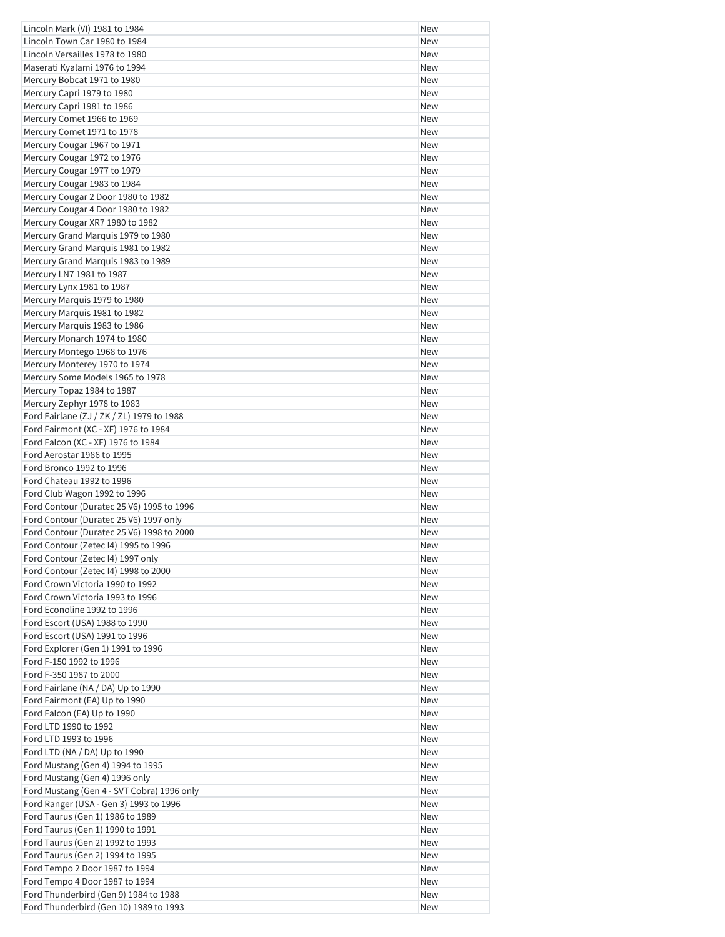| Lincoln Mark (VI) 1981 to 1984                                           | New        |
|--------------------------------------------------------------------------|------------|
| Lincoln Town Car 1980 to 1984                                            | <b>New</b> |
| Lincoln Versailles 1978 to 1980                                          | <b>New</b> |
| Maserati Kyalami 1976 to 1994                                            | New        |
| Mercury Bobcat 1971 to 1980                                              | New        |
| Mercury Capri 1979 to 1980                                               | <b>New</b> |
| Mercury Capri 1981 to 1986                                               | New        |
| Mercury Comet 1966 to 1969                                               | <b>New</b> |
| Mercury Comet 1971 to 1978                                               | New        |
| Mercury Cougar 1967 to 1971                                              | <b>New</b> |
| Mercury Cougar 1972 to 1976                                              | <b>New</b> |
| Mercury Cougar 1977 to 1979                                              | <b>New</b> |
| Mercury Cougar 1983 to 1984                                              | <b>New</b> |
| Mercury Cougar 2 Door 1980 to 1982                                       | <b>New</b> |
| Mercury Cougar 4 Door 1980 to 1982<br>Mercury Cougar XR7 1980 to 1982    | New<br>New |
| Mercury Grand Marquis 1979 to 1980                                       | <b>New</b> |
| Mercury Grand Marquis 1981 to 1982                                       | New        |
| Mercury Grand Marquis 1983 to 1989                                       | New        |
| Mercury LN7 1981 to 1987                                                 | New        |
| Mercury Lynx 1981 to 1987                                                | New        |
| Mercury Marquis 1979 to 1980                                             | New        |
| Mercury Marquis 1981 to 1982                                             | <b>New</b> |
| Mercury Marquis 1983 to 1986                                             | <b>New</b> |
| Mercury Monarch 1974 to 1980                                             | <b>New</b> |
| Mercury Montego 1968 to 1976                                             | New        |
| Mercury Monterey 1970 to 1974                                            | New        |
| Mercury Some Models 1965 to 1978                                         | <b>New</b> |
| Mercury Topaz 1984 to 1987                                               | <b>New</b> |
| Mercury Zephyr 1978 to 1983                                              | New        |
| Ford Fairlane (ZJ / ZK / ZL) 1979 to 1988                                | <b>New</b> |
| Ford Fairmont (XC - XF) 1976 to 1984                                     | New        |
| Ford Falcon (XC - XF) 1976 to 1984                                       | New        |
| Ford Aerostar 1986 to 1995                                               | New        |
| Ford Bronco 1992 to 1996                                                 | <b>New</b> |
| Ford Chateau 1992 to 1996                                                | New        |
| Ford Club Wagon 1992 to 1996                                             | New        |
| Ford Contour (Duratec 25 V6) 1995 to 1996                                | <b>New</b> |
| Ford Contour (Duratec 25 V6) 1997 only                                   | New        |
| Ford Contour (Duratec 25 V6) 1998 to 2000                                | New        |
| Ford Contour (Zetec I4) 1995 to 1996                                     | New        |
| Ford Contour (Zetec I4) 1997 only                                        | New        |
| Ford Contour (Zetec I4) 1998 to 2000<br>Ford Crown Victoria 1990 to 1992 | New        |
| Ford Crown Victoria 1993 to 1996                                         | New<br>New |
| Ford Econoline 1992 to 1996                                              | New        |
| Ford Escort (USA) 1988 to 1990                                           | New        |
| Ford Escort (USA) 1991 to 1996                                           | <b>New</b> |
| Ford Explorer (Gen 1) 1991 to 1996                                       | New        |
| Ford F-150 1992 to 1996                                                  | New        |
| Ford F-350 1987 to 2000                                                  | New        |
| Ford Fairlane (NA / DA) Up to 1990                                       | New        |
| Ford Fairmont (EA) Up to 1990                                            | New        |
| Ford Falcon (EA) Up to 1990                                              | New        |
| Ford LTD 1990 to 1992                                                    | New        |
| Ford LTD 1993 to 1996                                                    | New        |
| Ford LTD (NA / DA) Up to 1990                                            | New        |
| Ford Mustang (Gen 4) 1994 to 1995                                        | New        |
| Ford Mustang (Gen 4) 1996 only                                           | New        |
| Ford Mustang (Gen 4 - SVT Cobra) 1996 only                               | New        |
| Ford Ranger (USA - Gen 3) 1993 to 1996                                   | New        |
| Ford Taurus (Gen 1) 1986 to 1989                                         | New        |
| Ford Taurus (Gen 1) 1990 to 1991                                         | New        |
| Ford Taurus (Gen 2) 1992 to 1993                                         | New        |
| Ford Taurus (Gen 2) 1994 to 1995                                         | New        |
| Ford Tempo 2 Door 1987 to 1994                                           | New        |
| Ford Tempo 4 Door 1987 to 1994                                           | New        |
| Ford Thunderbird (Gen 9) 1984 to 1988                                    | New        |
| Ford Thunderbird (Gen 10) 1989 to 1993                                   | New        |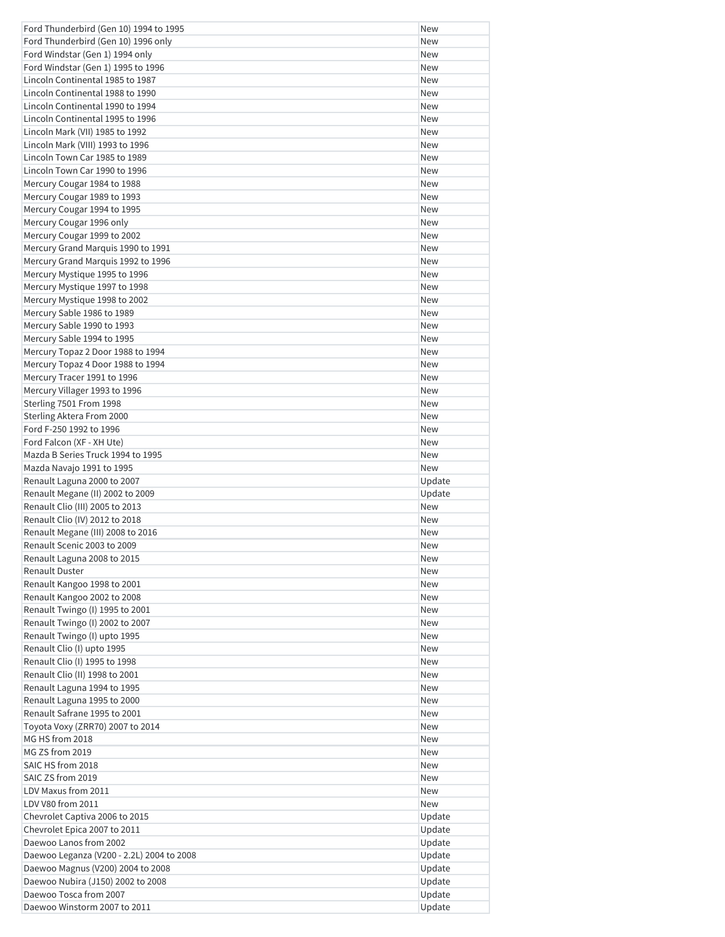| Ford Thunderbird (Gen 10) 1994 to 1995    | <b>New</b> |
|-------------------------------------------|------------|
| Ford Thunderbird (Gen 10) 1996 only       | <b>New</b> |
| Ford Windstar (Gen 1) 1994 only           | New        |
| Ford Windstar (Gen 1) 1995 to 1996        | <b>New</b> |
| Lincoln Continental 1985 to 1987          | <b>New</b> |
| Lincoln Continental 1988 to 1990          | <b>New</b> |
| Lincoln Continental 1990 to 1994          | <b>New</b> |
| Lincoln Continental 1995 to 1996          | <b>New</b> |
| Lincoln Mark (VII) 1985 to 1992           | New        |
| Lincoln Mark (VIII) 1993 to 1996          | New        |
| Lincoln Town Car 1985 to 1989             | <b>New</b> |
| Lincoln Town Car 1990 to 1996             | <b>New</b> |
| Mercury Cougar 1984 to 1988               | New        |
| Mercury Cougar 1989 to 1993               | <b>New</b> |
| Mercury Cougar 1994 to 1995               | New        |
| Mercury Cougar 1996 only                  | New        |
| Mercury Cougar 1999 to 2002               | New        |
| Mercury Grand Marquis 1990 to 1991        | <b>New</b> |
| Mercury Grand Marquis 1992 to 1996        | New        |
| Mercury Mystique 1995 to 1996             | <b>New</b> |
| Mercury Mystique 1997 to 1998             | <b>New</b> |
| Mercury Mystique 1998 to 2002             | <b>New</b> |
| Mercury Sable 1986 to 1989                | <b>New</b> |
| Mercury Sable 1990 to 1993                | New        |
| Mercury Sable 1994 to 1995                | <b>New</b> |
| Mercury Topaz 2 Door 1988 to 1994         | New        |
| Mercury Topaz 4 Door 1988 to 1994         | New        |
| Mercury Tracer 1991 to 1996               | New        |
| Mercury Villager 1993 to 1996             | <b>New</b> |
| Sterling 7501 From 1998                   | <b>New</b> |
| Sterling Aktera From 2000                 | New        |
| Ford F-250 1992 to 1996                   | <b>New</b> |
| Ford Falcon (XF - XH Ute)                 | <b>New</b> |
| Mazda B Series Truck 1994 to 1995         | New        |
| Mazda Navajo 1991 to 1995                 | New        |
| Renault Laguna 2000 to 2007               | Update     |
| Renault Megane (II) 2002 to 2009          | Update     |
| Renault Clio (III) 2005 to 2013           | New        |
| Renault Clio (IV) 2012 to 2018            | <b>New</b> |
| Renault Megane (III) 2008 to 2016         | New        |
| Renault Scenic 2003 to 2009               | New        |
| Renault Laguna 2008 to 2015               | New        |
| <b>Renault Duster</b>                     | New        |
| Renault Kangoo 1998 to 2001               |            |
|                                           | New        |
| Renault Kangoo 2002 to 2008               | New        |
| Renault Twingo (I) 1995 to 2001           | New        |
| Renault Twingo (I) 2002 to 2007           | New        |
| Renault Twingo (I) upto 1995              | New        |
| Renault Clio (I) upto 1995                | New        |
| Renault Clio (I) 1995 to 1998             | New        |
| Renault Clio (II) 1998 to 2001            | New        |
| Renault Laguna 1994 to 1995               | New        |
| Renault Laguna 1995 to 2000               | New        |
| Renault Safrane 1995 to 2001              | New        |
| Toyota Voxy (ZRR70) 2007 to 2014          | New        |
| MG HS from 2018                           | New        |
| MG ZS from 2019                           | New        |
| SAIC HS from 2018                         | New        |
| SAIC ZS from 2019                         | New        |
| LDV Maxus from 2011                       | New        |
| LDV V80 from 2011                         | New        |
| Chevrolet Captiva 2006 to 2015            | Update     |
| Chevrolet Epica 2007 to 2011              | Update     |
| Daewoo Lanos from 2002                    | Update     |
| Daewoo Leganza (V200 - 2.2L) 2004 to 2008 | Update     |
| Daewoo Magnus (V200) 2004 to 2008         | Update     |
| Daewoo Nubira (J150) 2002 to 2008         | Update     |
| Daewoo Tosca from 2007                    | Update     |
| Daewoo Winstorm 2007 to 2011              | Update     |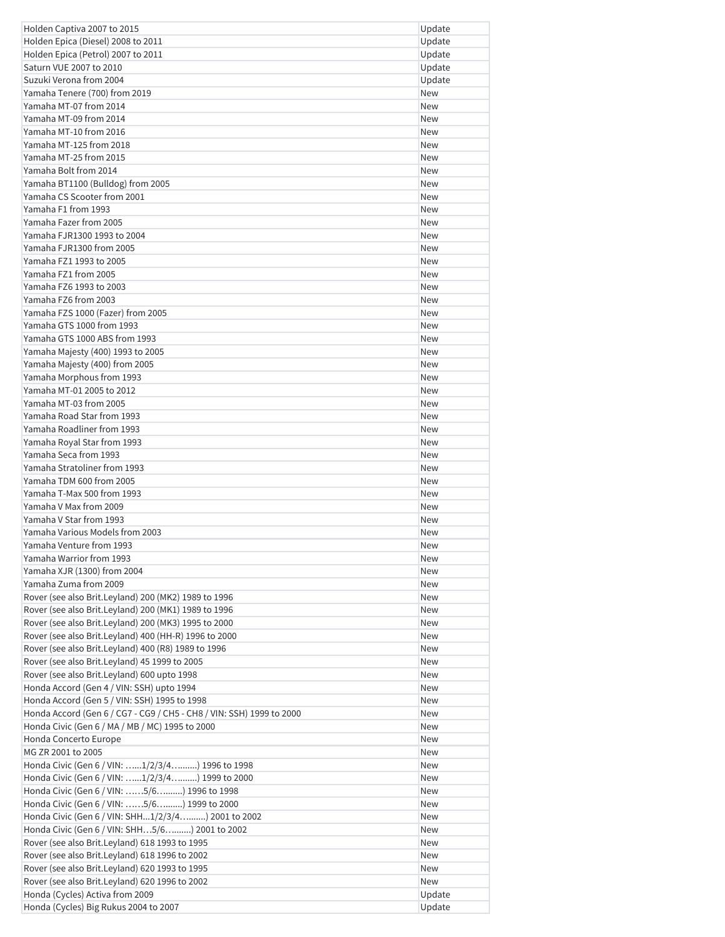| Holden Captiva 2007 to 2015                                                                       | Update            |
|---------------------------------------------------------------------------------------------------|-------------------|
| Holden Epica (Diesel) 2008 to 2011                                                                | Update            |
| Holden Epica (Petrol) 2007 to 2011                                                                | Update            |
| Saturn VUE 2007 to 2010                                                                           | Update            |
| Suzuki Verona from 2004                                                                           | Update            |
| Yamaha Tenere (700) from 2019                                                                     | <b>New</b>        |
| Yamaha MT-07 from 2014                                                                            | <b>New</b>        |
| Yamaha MT-09 from 2014                                                                            | <b>New</b>        |
| Yamaha MT-10 from 2016                                                                            | New               |
| Yamaha MT-125 from 2018                                                                           | New               |
| Yamaha MT-25 from 2015<br>Yamaha Bolt from 2014                                                   | <b>New</b>        |
| Yamaha BT1100 (Bulldog) from 2005                                                                 | <b>New</b>        |
| Yamaha CS Scooter from 2001                                                                       | New<br><b>New</b> |
| Yamaha F1 from 1993                                                                               | <b>New</b>        |
| Yamaha Fazer from 2005                                                                            | New               |
| Yamaha FJR1300 1993 to 2004                                                                       | <b>New</b>        |
| Yamaha FJR1300 from 2005                                                                          | <b>New</b>        |
| Yamaha FZ1 1993 to 2005                                                                           | <b>New</b>        |
| Yamaha FZ1 from 2005                                                                              | New               |
| Yamaha FZ6 1993 to 2003                                                                           | <b>New</b>        |
| Yamaha FZ6 from 2003                                                                              | <b>New</b>        |
| Yamaha FZS 1000 (Fazer) from 2005                                                                 | <b>New</b>        |
| Yamaha GTS 1000 from 1993                                                                         | New               |
| Yamaha GTS 1000 ABS from 1993                                                                     | <b>New</b>        |
| Yamaha Majesty (400) 1993 to 2005                                                                 | <b>New</b>        |
| Yamaha Majesty (400) from 2005                                                                    | New               |
| Yamaha Morphous from 1993                                                                         | <b>New</b>        |
| Yamaha MT-01 2005 to 2012                                                                         | <b>New</b>        |
| Yamaha MT-03 from 2005                                                                            | New               |
| Yamaha Road Star from 1993                                                                        | New               |
| Yamaha Roadliner from 1993                                                                        | New               |
| Yamaha Royal Star from 1993                                                                       | <b>New</b>        |
| Yamaha Seca from 1993                                                                             | New               |
| Yamaha Stratoliner from 1993                                                                      | New               |
| Yamaha TDM 600 from 2005                                                                          | <b>New</b>        |
| Yamaha T-Max 500 from 1993<br>Yamaha V Max from 2009                                              | <b>New</b>        |
| Yamaha V Star from 1993                                                                           | New<br><b>New</b> |
| Yamaha Various Models from 2003                                                                   | New               |
| Yamaha Venture from 1993                                                                          | New               |
| Yamaha Warrior from 1993                                                                          | New               |
| Yamaha XJR (1300) from 2004                                                                       | New               |
| Yamaha Zuma from 2009                                                                             | New               |
| Rover (see also Brit.Leyland) 200 (MK2) 1989 to 1996                                              | New               |
| Rover (see also Brit.Leyland) 200 (MK1) 1989 to 1996                                              | New               |
| Rover (see also Brit.Leyland) 200 (MK3) 1995 to 2000                                              | New               |
| Rover (see also Brit.Leyland) 400 (HH-R) 1996 to 2000                                             | New               |
| Rover (see also Brit.Leyland) 400 (R8) 1989 to 1996                                               | New               |
| Rover (see also Brit.Leyland) 45 1999 to 2005                                                     | New               |
| Rover (see also Brit.Leyland) 600 upto 1998                                                       | New               |
| Honda Accord (Gen 4 / VIN: SSH) upto 1994                                                         | New               |
| Honda Accord (Gen 5 / VIN: SSH) 1995 to 1998                                                      | New               |
| Honda Accord (Gen 6 / CG7 - CG9 / CH5 - CH8 / VIN: SSH) 1999 to 2000                              | New               |
| Honda Civic (Gen 6 / MA / MB / MC) 1995 to 2000                                                   | New               |
| Honda Concerto Europe                                                                             | New               |
| MG ZR 2001 to 2005                                                                                | New               |
| Honda Civic (Gen 6 / VIN: 1/2/3/4) 1996 to 1998                                                   | New               |
| Honda Civic (Gen 6 / VIN: 1/2/3/4) 1999 to 2000<br>Honda Civic (Gen 6 / VIN: 5/6) 1996 to 1998    | New<br>New        |
|                                                                                                   | New               |
| Honda Civic (Gen 6 / VIN: 5/6) 1999 to 2000<br>Honda Civic (Gen 6 / VIN: SHH1/2/3/4) 2001 to 2002 | New               |
| Honda Civic (Gen 6 / VIN: SHH5/6) 2001 to 2002                                                    | New               |
| Rover (see also Brit.Leyland) 618 1993 to 1995                                                    | New               |
| Rover (see also Brit.Leyland) 618 1996 to 2002                                                    | New               |
| Rover (see also Brit.Leyland) 620 1993 to 1995                                                    | New               |
| Rover (see also Brit.Leyland) 620 1996 to 2002                                                    | New               |
| Honda (Cycles) Activa from 2009                                                                   | Update            |
| Honda (Cycles) Big Rukus 2004 to 2007                                                             | Update            |